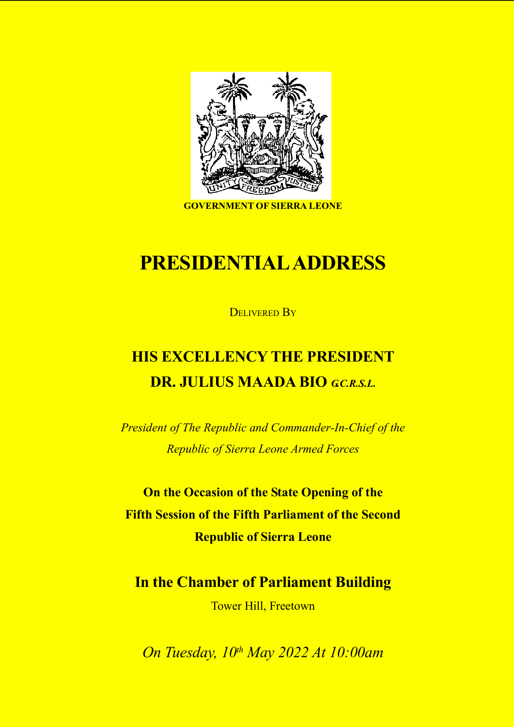

GOVERNMENT OF SIERRA LEONE

# PRESIDENTIAL ADDRESS

DELIVERED BY

# HIS EXCELLENCY THE PRESIDENT DR. JULIUS MAADA BIO GCRSL.

President of The Republic and Commander-In-Chief of the Republic of Sierra Leone Armed Forces

On the Occasion of the State Opening of the Fifth Session of the Fifth Parliament of the Second Republic of Sierra Leone

In the Chamber of Parliament Building

Tower Hill, Freetown

On Tuesday, 10<sup>th</sup> May 2022 At 10:00am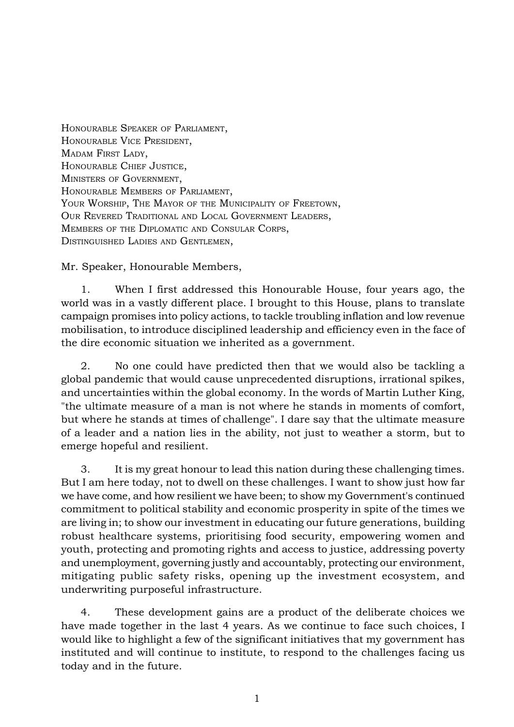HONOURABLE SPEAKER OF PARLIAMENT, HONOURABLE VICE PRESIDENT, MADAM FIRST LADY, HONOURABLE CHIEF JUSTICE, MINISTERS OF GOVERNMENT, HONOURABLE MEMBERS OF PARLIAMENT, YOUR WORSHIP, THE MAYOR OF THE MUNICIPALITY OF FREETOWN, OUR REVERED TRADITIONAL AND LOCAL GOVERNMENT LEADERS, MEMBERS OF THE DIPLOMATIC AND CONSULAR CORPS, DISTINGUISHED LADIES AND GENTLEMEN,

Mr. Speaker, Honourable Members,

1. When I first addressed this Honourable House, four years ago, the world was in a vastly different place. I brought to this House, plans to translate campaign promises into policy actions, to tackle troubling inflation and low revenue mobilisation, to introduce disciplined leadership and efficiency even in the face of the dire economic situation we inherited as a government.

2. No one could have predicted then that we would also be tackling a global pandemic that would cause unprecedented disruptions, irrational spikes, and uncertainties within the global economy. In the words of Martin Luther King, "the ultimate measure of a man is not where he stands in moments of comfort, but where he stands at times of challenge". I dare say that the ultimate measure of a leader and a nation lies in the ability, not just to weather a storm, but to emerge hopeful and resilient.

3. It is my great honour to lead this nation during these challenging times. But I am here today, not to dwell on these challenges. I want to show just how far we have come, and how resilient we have been; to show my Government's continued commitment to political stability and economic prosperity in spite of the times we are living in; to show our investment in educating our future generations, building robust healthcare systems, prioritising food security, empowering women and youth, protecting and promoting rights and access to justice, addressing poverty and unemployment, governing justly and accountably, protecting our environment, mitigating public safety risks, opening up the investment ecosystem, and underwriting purposeful infrastructure.

4. These development gains are a product of the deliberate choices we have made together in the last 4 years. As we continue to face such choices, I would like to highlight a few of the significant initiatives that my government has instituted and will continue to institute, to respond to the challenges facing us today and in the future.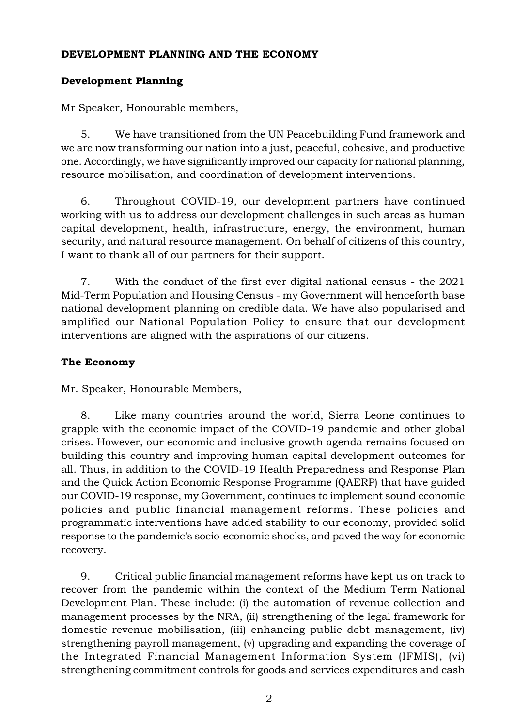# DEVELOPMENT PLANNING AND THE ECONOMY

# Development Planning

Mr Speaker, Honourable members,

5. We have transitioned from the UN Peacebuilding Fund framework and we are now transforming our nation into a just, peaceful, cohesive, and productive one. Accordingly, we have significantly improved our capacity for national planning, resource mobilisation, and coordination of development interventions.

6. Throughout COVID-19, our development partners have continued working with us to address our development challenges in such areas as human capital development, health, infrastructure, energy, the environment, human security, and natural resource management. On behalf of citizens of this country, I want to thank all of our partners for their support.

7. With the conduct of the first ever digital national census - the 2021 Mid-Term Population and Housing Census - my Government will henceforth base national development planning on credible data. We have also popularised and amplified our National Population Policy to ensure that our development interventions are aligned with the aspirations of our citizens.

# The Economy

Mr. Speaker, Honourable Members,

8. Like many countries around the world, Sierra Leone continues to grapple with the economic impact of the COVID-19 pandemic and other global crises. However, our economic and inclusive growth agenda remains focused on building this country and improving human capital development outcomes for all. Thus, in addition to the COVID-19 Health Preparedness and Response Plan and the Quick Action Economic Response Programme (QAERP) that have guided our COVID-19 response, my Government, continues to implement sound economic policies and public financial management reforms. These policies and programmatic interventions have added stability to our economy, provided solid response to the pandemic's socio-economic shocks, and paved the way for economic recovery.

9. Critical public financial management reforms have kept us on track to recover from the pandemic within the context of the Medium Term National Development Plan. These include: (i) the automation of revenue collection and management processes by the NRA, (ii) strengthening of the legal framework for domestic revenue mobilisation, (iii) enhancing public debt management, (iv) strengthening payroll management, (v) upgrading and expanding the coverage of the Integrated Financial Management Information System (IFMIS), (vi) strengthening commitment controls for goods and services expenditures and cash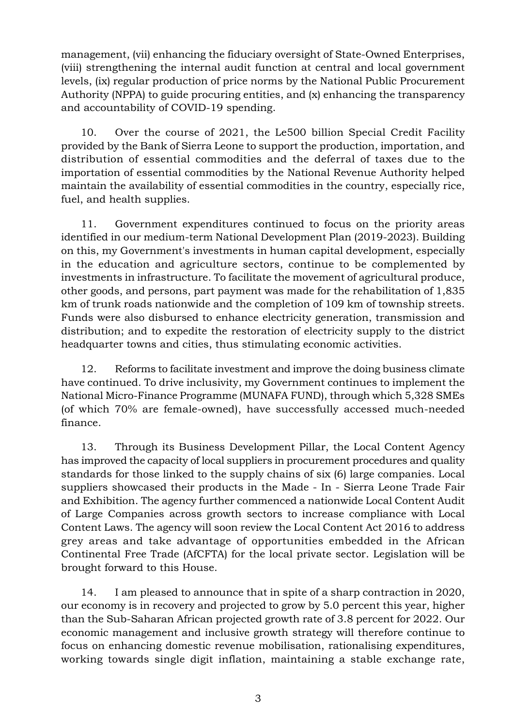management, (vii) enhancing the fiduciary oversight of State-Owned Enterprises, (viii) strengthening the internal audit function at central and local government levels, (ix) regular production of price norms by the National Public Procurement Authority (NPPA) to guide procuring entities, and (x) enhancing the transparency and accountability of COVID-19 spending.

10. Over the course of 2021, the Le500 billion Special Credit Facility provided by the Bank of Sierra Leone to support the production, importation, and distribution of essential commodities and the deferral of taxes due to the importation of essential commodities by the National Revenue Authority helped maintain the availability of essential commodities in the country, especially rice, fuel, and health supplies.

11. Government expenditures continued to focus on the priority areas identified in our medium-term National Development Plan (2019-2023). Building on this, my Government's investments in human capital development, especially in the education and agriculture sectors, continue to be complemented by investments in infrastructure. To facilitate the movement of agricultural produce, other goods, and persons, part payment was made for the rehabilitation of 1,835 km of trunk roads nationwide and the completion of 109 km of township streets. Funds were also disbursed to enhance electricity generation, transmission and distribution; and to expedite the restoration of electricity supply to the district headquarter towns and cities, thus stimulating economic activities.

12. Reforms to facilitate investment and improve the doing business climate have continued. To drive inclusivity, my Government continues to implement the National Micro-Finance Programme (MUNAFA FUND), through which 5,328 SMEs (of which 70% are female-owned), have successfully accessed much-needed finance.

13. Through its Business Development Pillar, the Local Content Agency has improved the capacity of local suppliers in procurement procedures and quality standards for those linked to the supply chains of six (6) large companies. Local suppliers showcased their products in the Made - In - Sierra Leone Trade Fair and Exhibition. The agency further commenced a nationwide Local Content Audit of Large Companies across growth sectors to increase compliance with Local Content Laws. The agency will soon review the Local Content Act 2016 to address grey areas and take advantage of opportunities embedded in the African Continental Free Trade (AfCFTA) for the local private sector. Legislation will be brought forward to this House.

14. I am pleased to announce that in spite of a sharp contraction in 2020, our economy is in recovery and projected to grow by 5.0 percent this year, higher than the Sub-Saharan African projected growth rate of 3.8 percent for 2022. Our economic management and inclusive growth strategy will therefore continue to focus on enhancing domestic revenue mobilisation, rationalising expenditures, working towards single digit inflation, maintaining a stable exchange rate,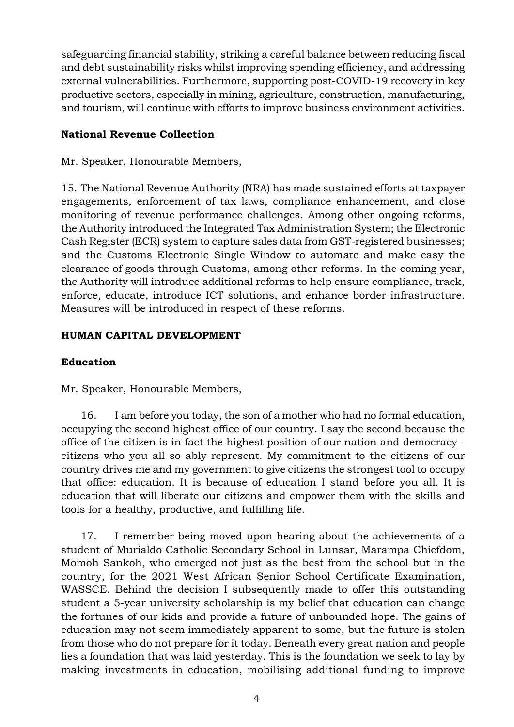safeguarding financial stability, striking a careful balance between reducing fiscal and debt sustainability risks whilst improving spending efficiency, and addressing external vulnerabilities. Furthermore, supporting post-COVID-19 recovery in key productive sectors, especially in mining, agriculture, construction, manufacturing, and tourism, will continue with efforts to improve business environment activities.

# National Revenue Collection

Mr. Speaker, Honourable Members,

15. The National Revenue Authority (NRA) has made sustained efforts at taxpayer engagements, enforcement of tax laws, compliance enhancement, and close monitoring of revenue performance challenges. Among other ongoing reforms, the Authority introduced the Integrated Tax Administration System; the Electronic Cash Register (ECR) system to capture sales data from GST-registered businesses; and the Customs Electronic Single Window to automate and make easy the clearance of goods through Customs, among other reforms. In the coming year, the Authority will introduce additional reforms to help ensure compliance, track, enforce, educate, introduce ICT solutions, and enhance border infrastructure. Measures will be introduced in respect of these reforms.

# HUMAN CAPITAL DEVELOPMENT

# Education

Mr. Speaker, Honourable Members,

16. I am before you today, the son of a mother who had no formal education, occupying the second highest office of our country. I say the second because the office of the citizen is in fact the highest position of our nation and democracy citizens who you all so ably represent. My commitment to the citizens of our country drives me and my government to give citizens the strongest tool to occupy that office: education. It is because of education I stand before you all. It is education that will liberate our citizens and empower them with the skills and tools for a healthy, productive, and fulfilling life.

17. I remember being moved upon hearing about the achievements of a student of Murialdo Catholic Secondary School in Lunsar, Marampa Chiefdom, Momoh Sankoh, who emerged not just as the best from the school but in the country, for the 2021 West African Senior School Certificate Examination, WASSCE. Behind the decision I subsequently made to offer this outstanding student a 5-year university scholarship is my belief that education can change the fortunes of our kids and provide a future of unbounded hope. The gains of education may not seem immediately apparent to some, but the future is stolen from those who do not prepare for it today. Beneath every great nation and people lies a foundation that was laid yesterday. This is the foundation we seek to lay by making investments in education, mobilising additional funding to improve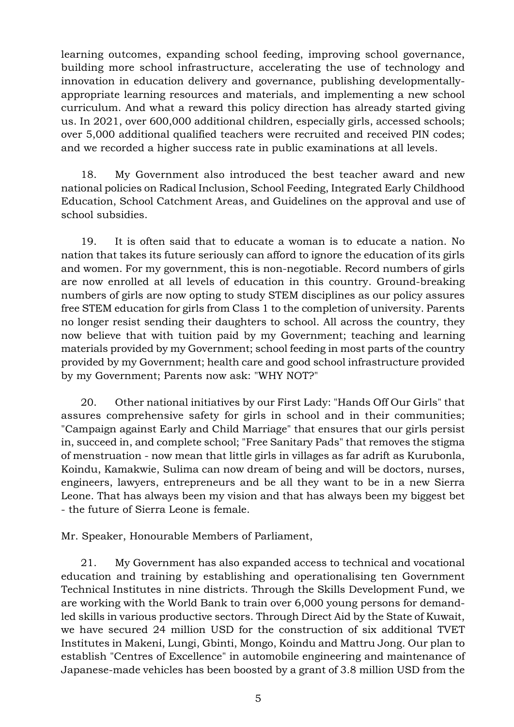learning outcomes, expanding school feeding, improving school governance, building more school infrastructure, accelerating the use of technology and innovation in education delivery and governance, publishing developmentallyappropriate learning resources and materials, and implementing a new school curriculum. And what a reward this policy direction has already started giving us. In 2021, over 600,000 additional children, especially girls, accessed schools; over 5,000 additional qualified teachers were recruited and received PIN codes; and we recorded a higher success rate in public examinations at all levels.

18. My Government also introduced the best teacher award and new national policies on Radical Inclusion, School Feeding, Integrated Early Childhood Education, School Catchment Areas, and Guidelines on the approval and use of school subsidies.

19. It is often said that to educate a woman is to educate a nation. No nation that takes its future seriously can afford to ignore the education of its girls and women. For my government, this is non-negotiable. Record numbers of girls are now enrolled at all levels of education in this country. Ground-breaking numbers of girls are now opting to study STEM disciplines as our policy assures free STEM education for girls from Class 1 to the completion of university. Parents no longer resist sending their daughters to school. All across the country, they now believe that with tuition paid by my Government; teaching and learning materials provided by my Government; school feeding in most parts of the country provided by my Government; health care and good school infrastructure provided by my Government; Parents now ask: "WHY NOT?"

20. Other national initiatives by our First Lady: "Hands Off Our Girls" that assures comprehensive safety for girls in school and in their communities; "Campaign against Early and Child Marriage" that ensures that our girls persist in, succeed in, and complete school; "Free Sanitary Pads" that removes the stigma of menstruation - now mean that little girls in villages as far adrift as Kurubonla, Koindu, Kamakwie, Sulima can now dream of being and will be doctors, nurses, engineers, lawyers, entrepreneurs and be all they want to be in a new Sierra Leone. That has always been my vision and that has always been my biggest bet - the future of Sierra Leone is female.

Mr. Speaker, Honourable Members of Parliament,

21. My Government has also expanded access to technical and vocational education and training by establishing and operationalising ten Government Technical Institutes in nine districts. Through the Skills Development Fund, we are working with the World Bank to train over 6,000 young persons for demandled skills in various productive sectors. Through Direct Aid by the State of Kuwait, we have secured 24 million USD for the construction of six additional TVET Institutes in Makeni, Lungi, Gbinti, Mongo, Koindu and Mattru Jong. Our plan to establish "Centres of Excellence" in automobile engineering and maintenance of Japanese-made vehicles has been boosted by a grant of 3.8 million USD from the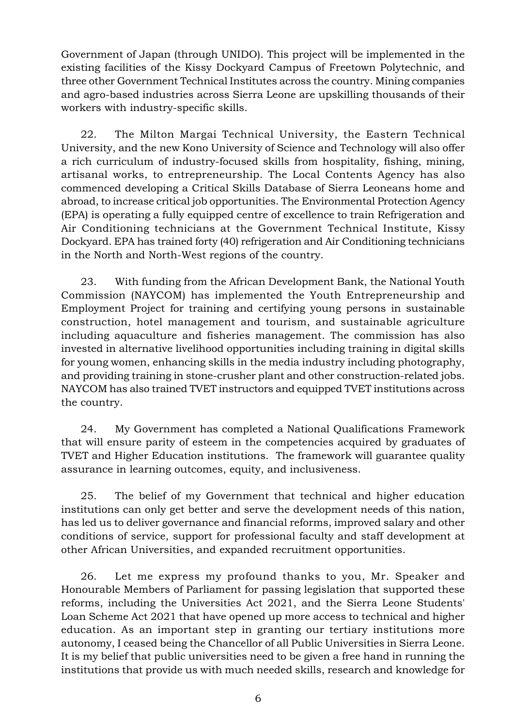Government of Japan (through UNIDO). This project will be implemented in the existing facilities of the Kissy Dockyard Campus of Freetown Polytechnic, and three other Government Technical Institutes across the country. Mining companies and agro-based industries across Sierra Leone are upskilling thousands of their workers with industry-specific skills.

22. The Milton Margai Technical University, the Eastern Technical University, and the new Kono University of Science and Technology will also offer a rich curriculum of industry-focused skills from hospitality, fishing, mining, artisanal works, to entrepreneurship. The Local Contents Agency has also commenced developing a Critical Skills Database of Sierra Leoneans home and abroad, to increase critical job opportunities. The Environmental Protection Agency (EPA) is operating a fully equipped centre of excellence to train Refrigeration and Air Conditioning technicians at the Government Technical Institute, Kissy Dockyard. EPA has trained forty (40) refrigeration and Air Conditioning technicians in the North and North-West regions of the country.

23. With funding from the African Development Bank, the National Youth Commission (NAYCOM) has implemented the Youth Entrepreneurship and Employment Project for training and certifying young persons in sustainable construction, hotel management and tourism, and sustainable agriculture including aquaculture and fisheries management. The commission has also invested in alternative livelihood opportunities including training in digital skills for young women, enhancing skills in the media industry including photography, and providing training in stone-crusher plant and other construction-related jobs. NAYCOM has also trained TVET instructors and equipped TVET institutions across the country.

24. My Government has completed a National Qualifications Framework that will ensure parity of esteem in the competencies acquired by graduates of TVET and Higher Education institutions. The framework will guarantee quality assurance in learning outcomes, equity, and inclusiveness.

25. The belief of my Government that technical and higher education institutions can only get better and serve the development needs of this nation, has led us to deliver governance and financial reforms, improved salary and other conditions of service, support for professional faculty and staff development at other African Universities, and expanded recruitment opportunities.

26. Let me express my profound thanks to you, Mr. Speaker and Honourable Members of Parliament for passing legislation that supported these reforms, including the Universities Act 2021, and the Sierra Leone Students' Loan Scheme Act 2021 that have opened up more access to technical and higher education. As an important step in granting our tertiary institutions more autonomy, I ceased being the Chancellor of all Public Universities in Sierra Leone. It is my belief that public universities need to be given a free hand in running the institutions that provide us with much needed skills, research and knowledge for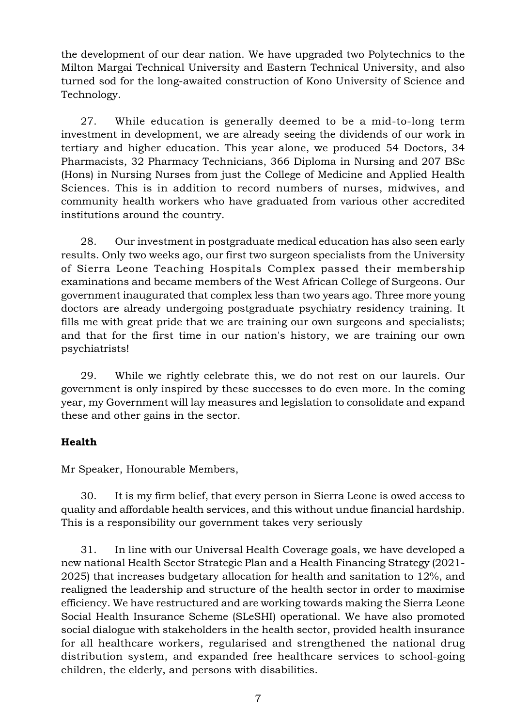the development of our dear nation. We have upgraded two Polytechnics to the Milton Margai Technical University and Eastern Technical University, and also turned sod for the long-awaited construction of Kono University of Science and Technology.

27. While education is generally deemed to be a mid-to-long term investment in development, we are already seeing the dividends of our work in tertiary and higher education. This year alone, we produced 54 Doctors, 34 Pharmacists, 32 Pharmacy Technicians, 366 Diploma in Nursing and 207 BSc (Hons) in Nursing Nurses from just the College of Medicine and Applied Health Sciences. This is in addition to record numbers of nurses, midwives, and community health workers who have graduated from various other accredited institutions around the country.

28. Our investment in postgraduate medical education has also seen early results. Only two weeks ago, our first two surgeon specialists from the University of Sierra Leone Teaching Hospitals Complex passed their membership examinations and became members of the West African College of Surgeons. Our government inaugurated that complex less than two years ago. Three more young doctors are already undergoing postgraduate psychiatry residency training. It fills me with great pride that we are training our own surgeons and specialists; and that for the first time in our nation's history, we are training our own psychiatrists!

29. While we rightly celebrate this, we do not rest on our laurels. Our government is only inspired by these successes to do even more. In the coming year, my Government will lay measures and legislation to consolidate and expand these and other gains in the sector.

# **Health**

Mr Speaker, Honourable Members,

30. It is my firm belief, that every person in Sierra Leone is owed access to quality and affordable health services, and this without undue financial hardship. This is a responsibility our government takes very seriously

31. In line with our Universal Health Coverage goals, we have developed a new national Health Sector Strategic Plan and a Health Financing Strategy (2021- 2025) that increases budgetary allocation for health and sanitation to 12%, and realigned the leadership and structure of the health sector in order to maximise efficiency. We have restructured and are working towards making the Sierra Leone Social Health Insurance Scheme (SLeSHI) operational. We have also promoted social dialogue with stakeholders in the health sector, provided health insurance for all healthcare workers, regularised and strengthened the national drug distribution system, and expanded free healthcare services to school-going children, the elderly, and persons with disabilities.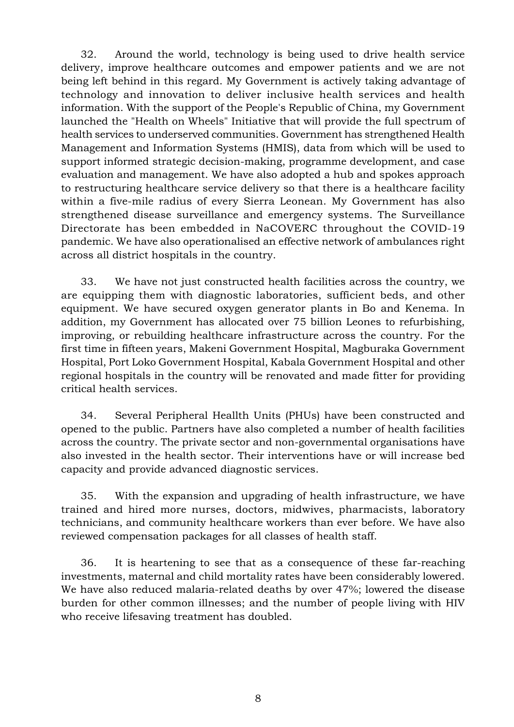32. Around the world, technology is being used to drive health service delivery, improve healthcare outcomes and empower patients and we are not being left behind in this regard. My Government is actively taking advantage of technology and innovation to deliver inclusive health services and health information. With the support of the People's Republic of China, my Government launched the "Health on Wheels" Initiative that will provide the full spectrum of health services to underserved communities. Government has strengthened Health Management and Information Systems (HMIS), data from which will be used to support informed strategic decision-making, programme development, and case evaluation and management. We have also adopted a hub and spokes approach to restructuring healthcare service delivery so that there is a healthcare facility within a five-mile radius of every Sierra Leonean. My Government has also strengthened disease surveillance and emergency systems. The Surveillance Directorate has been embedded in NaCOVERC throughout the COVID-19 pandemic. We have also operationalised an effective network of ambulances right across all district hospitals in the country.

33. We have not just constructed health facilities across the country, we are equipping them with diagnostic laboratories, sufficient beds, and other equipment. We have secured oxygen generator plants in Bo and Kenema. In addition, my Government has allocated over 75 billion Leones to refurbishing, improving, or rebuilding healthcare infrastructure across the country. For the first time in fifteen years, Makeni Government Hospital, Magburaka Government Hospital, Port Loko Government Hospital, Kabala Government Hospital and other regional hospitals in the country will be renovated and made fitter for providing critical health services.

34. Several Peripheral Heallth Units (PHUs) have been constructed and opened to the public. Partners have also completed a number of health facilities across the country. The private sector and non-governmental organisations have also invested in the health sector. Their interventions have or will increase bed capacity and provide advanced diagnostic services.

35. With the expansion and upgrading of health infrastructure, we have trained and hired more nurses, doctors, midwives, pharmacists, laboratory technicians, and community healthcare workers than ever before. We have also reviewed compensation packages for all classes of health staff.

36. It is heartening to see that as a consequence of these far-reaching investments, maternal and child mortality rates have been considerably lowered. We have also reduced malaria-related deaths by over 47%; lowered the disease burden for other common illnesses; and the number of people living with HIV who receive lifesaving treatment has doubled.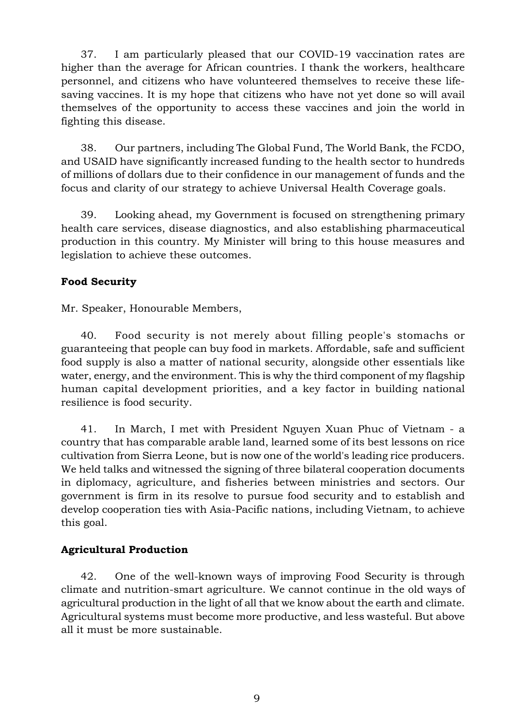37. I am particularly pleased that our COVID-19 vaccination rates are higher than the average for African countries. I thank the workers, healthcare personnel, and citizens who have volunteered themselves to receive these lifesaving vaccines. It is my hope that citizens who have not yet done so will avail themselves of the opportunity to access these vaccines and join the world in fighting this disease.

38. Our partners, including The Global Fund, The World Bank, the FCDO, and USAID have significantly increased funding to the health sector to hundreds of millions of dollars due to their confidence in our management of funds and the focus and clarity of our strategy to achieve Universal Health Coverage goals.

39. Looking ahead, my Government is focused on strengthening primary health care services, disease diagnostics, and also establishing pharmaceutical production in this country. My Minister will bring to this house measures and legislation to achieve these outcomes.

# Food Security

Mr. Speaker, Honourable Members,

40. Food security is not merely about filling people's stomachs or guaranteeing that people can buy food in markets. Affordable, safe and sufficient food supply is also a matter of national security, alongside other essentials like water, energy, and the environment. This is why the third component of my flagship human capital development priorities, and a key factor in building national resilience is food security.

41. In March, I met with President Nguyen Xuan Phuc of Vietnam - a country that has comparable arable land, learned some of its best lessons on rice cultivation from Sierra Leone, but is now one of the world's leading rice producers. We held talks and witnessed the signing of three bilateral cooperation documents in diplomacy, agriculture, and fisheries between ministries and sectors. Our government is firm in its resolve to pursue food security and to establish and develop cooperation ties with Asia-Pacific nations, including Vietnam, to achieve this goal.

# Agricultural Production

42. One of the well-known ways of improving Food Security is through climate and nutrition-smart agriculture. We cannot continue in the old ways of agricultural production in the light of all that we know about the earth and climate. Agricultural systems must become more productive, and less wasteful. But above all it must be more sustainable.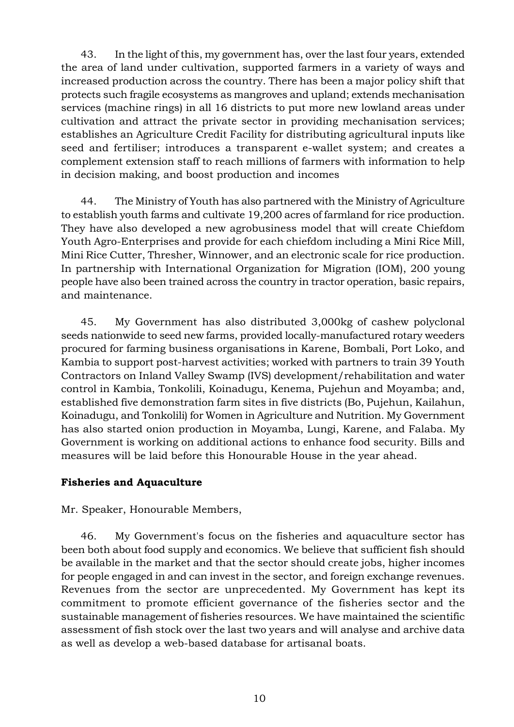43. In the light of this, my government has, over the last four years, extended the area of land under cultivation, supported farmers in a variety of ways and increased production across the country. There has been a major policy shift that protects such fragile ecosystems as mangroves and upland; extends mechanisation services (machine rings) in all 16 districts to put more new lowland areas under cultivation and attract the private sector in providing mechanisation services; establishes an Agriculture Credit Facility for distributing agricultural inputs like seed and fertiliser; introduces a transparent e-wallet system; and creates a complement extension staff to reach millions of farmers with information to help in decision making, and boost production and incomes

44. The Ministry of Youth has also partnered with the Ministry of Agriculture to establish youth farms and cultivate 19,200 acres of farmland for rice production. They have also developed a new agrobusiness model that will create Chiefdom Youth Agro-Enterprises and provide for each chiefdom including a Mini Rice Mill, Mini Rice Cutter, Thresher, Winnower, and an electronic scale for rice production. In partnership with International Organization for Migration (IOM), 200 young people have also been trained across the country in tractor operation, basic repairs, and maintenance.

45. My Government has also distributed 3,000kg of cashew polyclonal seeds nationwide to seed new farms, provided locally-manufactured rotary weeders procured for farming business organisations in Karene, Bombali, Port Loko, and Kambia to support post-harvest activities; worked with partners to train 39 Youth Contractors on Inland Valley Swamp (IVS) development/rehabilitation and water control in Kambia, Tonkolili, Koinadugu, Kenema, Pujehun and Moyamba; and, established five demonstration farm sites in five districts (Bo, Pujehun, Kailahun, Koinadugu, and Tonkolili) for Women in Agriculture and Nutrition. My Government has also started onion production in Moyamba, Lungi, Karene, and Falaba. My Government is working on additional actions to enhance food security. Bills and measures will be laid before this Honourable House in the year ahead.

# Fisheries and Aquaculture

Mr. Speaker, Honourable Members,

46. My Government's focus on the fisheries and aquaculture sector has been both about food supply and economics. We believe that sufficient fish should be available in the market and that the sector should create jobs, higher incomes for people engaged in and can invest in the sector, and foreign exchange revenues. Revenues from the sector are unprecedented. My Government has kept its commitment to promote efficient governance of the fisheries sector and the sustainable management of fisheries resources. We have maintained the scientific assessment of fish stock over the last two years and will analyse and archive data as well as develop a web-based database for artisanal boats.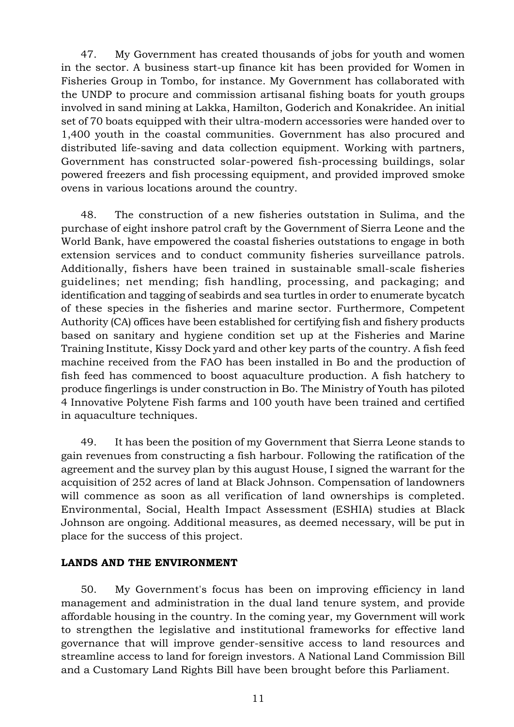47. My Government has created thousands of jobs for youth and women in the sector. A business start-up finance kit has been provided for Women in Fisheries Group in Tombo, for instance. My Government has collaborated with the UNDP to procure and commission artisanal fishing boats for youth groups involved in sand mining at Lakka, Hamilton, Goderich and Konakridee. An initial set of 70 boats equipped with their ultra-modern accessories were handed over to 1,400 youth in the coastal communities. Government has also procured and distributed life-saving and data collection equipment. Working with partners, Government has constructed solar-powered fish-processing buildings, solar powered freezers and fish processing equipment, and provided improved smoke ovens in various locations around the country.

48. The construction of a new fisheries outstation in Sulima, and the purchase of eight inshore patrol craft by the Government of Sierra Leone and the World Bank, have empowered the coastal fisheries outstations to engage in both extension services and to conduct community fisheries surveillance patrols. Additionally, fishers have been trained in sustainable small-scale fisheries guidelines; net mending; fish handling, processing, and packaging; and identification and tagging of seabirds and sea turtles in order to enumerate bycatch of these species in the fisheries and marine sector. Furthermore, Competent Authority (CA) offices have been established for certifying fish and fishery products based on sanitary and hygiene condition set up at the Fisheries and Marine Training Institute, Kissy Dock yard and other key parts of the country. A fish feed machine received from the FAO has been installed in Bo and the production of fish feed has commenced to boost aquaculture production. A fish hatchery to produce fingerlings is under construction in Bo. The Ministry of Youth has piloted 4 Innovative Polytene Fish farms and 100 youth have been trained and certified in aquaculture techniques.

49. It has been the position of my Government that Sierra Leone stands to gain revenues from constructing a fish harbour. Following the ratification of the agreement and the survey plan by this august House, I signed the warrant for the acquisition of 252 acres of land at Black Johnson. Compensation of landowners will commence as soon as all verification of land ownerships is completed. Environmental, Social, Health Impact Assessment (ESHIA) studies at Black Johnson are ongoing. Additional measures, as deemed necessary, will be put in place for the success of this project.

## LANDS AND THE ENVIRONMENT

50. My Government's focus has been on improving efficiency in land management and administration in the dual land tenure system, and provide affordable housing in the country. In the coming year, my Government will work to strengthen the legislative and institutional frameworks for effective land governance that will improve gender-sensitive access to land resources and streamline access to land for foreign investors. A National Land Commission Bill and a Customary Land Rights Bill have been brought before this Parliament.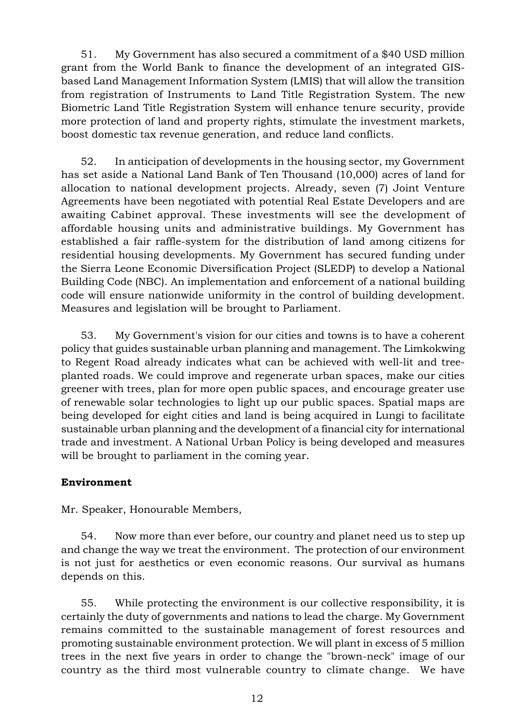51. My Government has also secured a commitment of a \$40 USD million grant from the World Bank to finance the development of an integrated GISbased Land Management Information System (LMIS) that will allow the transition from registration of Instruments to Land Title Registration System. The new Biometric Land Title Registration System will enhance tenure security, provide more protection of land and property rights, stimulate the investment markets, boost domestic tax revenue generation, and reduce land conflicts.

52. In anticipation of developments in the housing sector, my Government has set aside a National Land Bank of Ten Thousand (10,000) acres of land for allocation to national development projects. Already, seven (7) Joint Venture Agreements have been negotiated with potential Real Estate Developers and are awaiting Cabinet approval. These investments will see the development of affordable housing units and administrative buildings. My Government has established a fair raffle-system for the distribution of land among citizens for residential housing developments. My Government has secured funding under the Sierra Leone Economic Diversification Project (SLEDP) to develop a National Building Code (NBC). An implementation and enforcement of a national building code will ensure nationwide uniformity in the control of building development. Measures and legislation will be brought to Parliament.

53. My Government's vision for our cities and towns is to have a coherent policy that guides sustainable urban planning and management. The Limkokwing to Regent Road already indicates what can be achieved with well-lit and treeplanted roads. We could improve and regenerate urban spaces, make our cities greener with trees, plan for more open public spaces, and encourage greater use of renewable solar technologies to light up our public spaces. Spatial maps are being developed for eight cities and land is being acquired in Lungi to facilitate sustainable urban planning and the development of a financial city for international trade and investment. A National Urban Policy is being developed and measures will be brought to parliament in the coming year.

# Environment

Mr. Speaker, Honourable Members,

54. Now more than ever before, our country and planet need us to step up and change the way we treat the environment. The protection of our environment is not just for aesthetics or even economic reasons. Our survival as humans depends on this.

55. While protecting the environment is our collective responsibility, it is certainly the duty of governments and nations to lead the charge. My Government remains committed to the sustainable management of forest resources and promoting sustainable environment protection. We will plant in excess of 5 million trees in the next five years in order to change the "brown-neck" image of our country as the third most vulnerable country to climate change. We have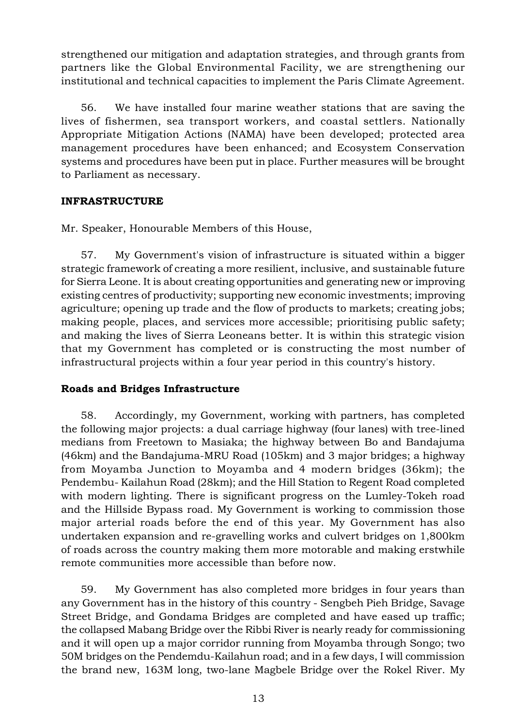strengthened our mitigation and adaptation strategies, and through grants from partners like the Global Environmental Facility, we are strengthening our institutional and technical capacities to implement the Paris Climate Agreement.

56. We have installed four marine weather stations that are saving the lives of fishermen, sea transport workers, and coastal settlers. Nationally Appropriate Mitigation Actions (NAMA) have been developed; protected area management procedures have been enhanced; and Ecosystem Conservation systems and procedures have been put in place. Further measures will be brought to Parliament as necessary.

# INFRASTRUCTURE

Mr. Speaker, Honourable Members of this House,

57. My Government's vision of infrastructure is situated within a bigger strategic framework of creating a more resilient, inclusive, and sustainable future for Sierra Leone. It is about creating opportunities and generating new or improving existing centres of productivity; supporting new economic investments; improving agriculture; opening up trade and the flow of products to markets; creating jobs; making people, places, and services more accessible; prioritising public safety; and making the lives of Sierra Leoneans better. It is within this strategic vision that my Government has completed or is constructing the most number of infrastructural projects within a four year period in this country's history.

# Roads and Bridges Infrastructure

58. Accordingly, my Government, working with partners, has completed the following major projects: a dual carriage highway (four lanes) with tree-lined medians from Freetown to Masiaka; the highway between Bo and Bandajuma (46km) and the Bandajuma-MRU Road (105km) and 3 major bridges; a highway from Moyamba Junction to Moyamba and 4 modern bridges (36km); the Pendembu- Kailahun Road (28km); and the Hill Station to Regent Road completed with modern lighting. There is significant progress on the Lumley-Tokeh road and the Hillside Bypass road. My Government is working to commission those major arterial roads before the end of this year. My Government has also undertaken expansion and re-gravelling works and culvert bridges on 1,800km of roads across the country making them more motorable and making erstwhile remote communities more accessible than before now.

59. My Government has also completed more bridges in four years than any Government has in the history of this country - Sengbeh Pieh Bridge, Savage Street Bridge, and Gondama Bridges are completed and have eased up traffic; the collapsed Mabang Bridge over the Ribbi River is nearly ready for commissioning and it will open up a major corridor running from Moyamba through Songo; two 50M bridges on the Pendemdu-Kailahun road; and in a few days, I will commission the brand new, 163M long, two-lane Magbele Bridge over the Rokel River. My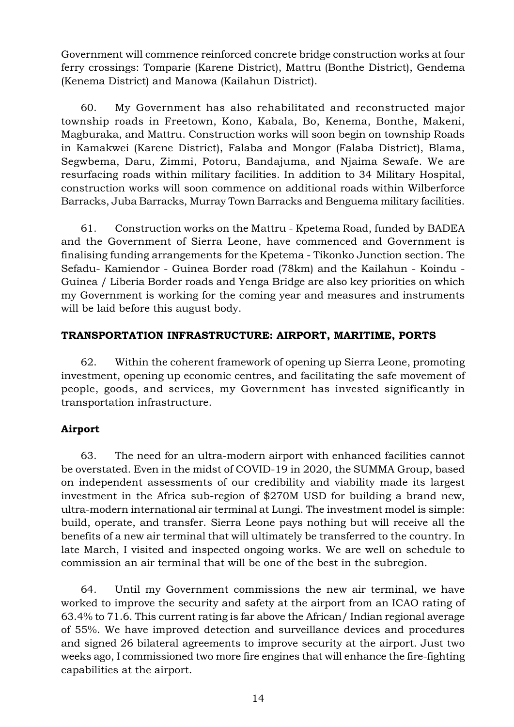Government will commence reinforced concrete bridge construction works at four ferry crossings: Tomparie (Karene District), Mattru (Bonthe District), Gendema (Kenema District) and Manowa (Kailahun District).

60. My Government has also rehabilitated and reconstructed major township roads in Freetown, Kono, Kabala, Bo, Kenema, Bonthe, Makeni, Magburaka, and Mattru. Construction works will soon begin on township Roads in Kamakwei (Karene District), Falaba and Mongor (Falaba District), Blama, Segwbema, Daru, Zimmi, Potoru, Bandajuma, and Njaima Sewafe. We are resurfacing roads within military facilities. In addition to 34 Military Hospital, construction works will soon commence on additional roads within Wilberforce Barracks, Juba Barracks, Murray Town Barracks and Benguema military facilities.

61. Construction works on the Mattru - Kpetema Road, funded by BADEA and the Government of Sierra Leone, have commenced and Government is finalising funding arrangements for the Kpetema - Tikonko Junction section. The Sefadu- Kamiendor - Guinea Border road (78km) and the Kailahun - Koindu - Guinea / Liberia Border roads and Yenga Bridge are also key priorities on which my Government is working for the coming year and measures and instruments will be laid before this august body.

# TRANSPORTATION INFRASTRUCTURE: AIRPORT, MARITIME, PORTS

62. Within the coherent framework of opening up Sierra Leone, promoting investment, opening up economic centres, and facilitating the safe movement of people, goods, and services, my Government has invested significantly in transportation infrastructure.

# Airport

63. The need for an ultra-modern airport with enhanced facilities cannot be overstated. Even in the midst of COVID-19 in 2020, the SUMMA Group, based on independent assessments of our credibility and viability made its largest investment in the Africa sub-region of \$270M USD for building a brand new, ultra-modern international air terminal at Lungi. The investment model is simple: build, operate, and transfer. Sierra Leone pays nothing but will receive all the benefits of a new air terminal that will ultimately be transferred to the country. In late March, I visited and inspected ongoing works. We are well on schedule to commission an air terminal that will be one of the best in the subregion.

64. Until my Government commissions the new air terminal, we have worked to improve the security and safety at the airport from an ICAO rating of 63.4% to 71.6. This current rating is far above the African/ Indian regional average of 55%. We have improved detection and surveillance devices and procedures and signed 26 bilateral agreements to improve security at the airport. Just two weeks ago, I commissioned two more fire engines that will enhance the fire-fighting capabilities at the airport.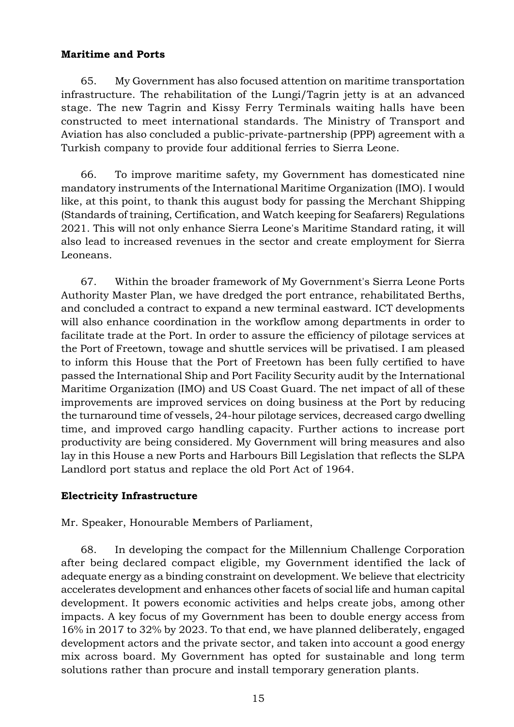## Maritime and Ports

65. My Government has also focused attention on maritime transportation infrastructure. The rehabilitation of the Lungi/Tagrin jetty is at an advanced stage. The new Tagrin and Kissy Ferry Terminals waiting halls have been constructed to meet international standards. The Ministry of Transport and Aviation has also concluded a public-private-partnership (PPP) agreement with a Turkish company to provide four additional ferries to Sierra Leone.

66. To improve maritime safety, my Government has domesticated nine mandatory instruments of the International Maritime Organization (IMO). I would like, at this point, to thank this august body for passing the Merchant Shipping (Standards of training, Certification, and Watch keeping for Seafarers) Regulations 2021. This will not only enhance Sierra Leone's Maritime Standard rating, it will also lead to increased revenues in the sector and create employment for Sierra Leoneans.

67. Within the broader framework of My Government's Sierra Leone Ports Authority Master Plan, we have dredged the port entrance, rehabilitated Berths, and concluded a contract to expand a new terminal eastward. ICT developments will also enhance coordination in the workflow among departments in order to facilitate trade at the Port. In order to assure the efficiency of pilotage services at the Port of Freetown, towage and shuttle services will be privatised. I am pleased to inform this House that the Port of Freetown has been fully certified to have passed the International Ship and Port Facility Security audit by the International Maritime Organization (IMO) and US Coast Guard. The net impact of all of these improvements are improved services on doing business at the Port by reducing the turnaround time of vessels, 24-hour pilotage services, decreased cargo dwelling time, and improved cargo handling capacity. Further actions to increase port productivity are being considered. My Government will bring measures and also lay in this House a new Ports and Harbours Bill Legislation that reflects the SLPA Landlord port status and replace the old Port Act of 1964.

# Electricity Infrastructure

Mr. Speaker, Honourable Members of Parliament,

68. In developing the compact for the Millennium Challenge Corporation after being declared compact eligible, my Government identified the lack of adequate energy as a binding constraint on development. We believe that electricity accelerates development and enhances other facets of social life and human capital development. It powers economic activities and helps create jobs, among other impacts. A key focus of my Government has been to double energy access from 16% in 2017 to 32% by 2023. To that end, we have planned deliberately, engaged development actors and the private sector, and taken into account a good energy mix across board. My Government has opted for sustainable and long term solutions rather than procure and install temporary generation plants.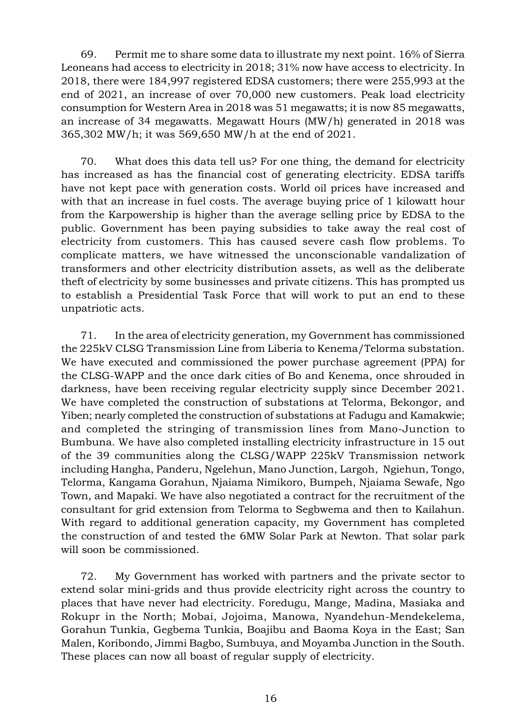69. Permit me to share some data to illustrate my next point. 16% of Sierra Leoneans had access to electricity in 2018; 31% now have access to electricity. In 2018, there were 184,997 registered EDSA customers; there were 255,993 at the end of 2021, an increase of over 70,000 new customers. Peak load electricity consumption for Western Area in 2018 was 51 megawatts; it is now 85 megawatts, an increase of 34 megawatts. Megawatt Hours (MW/h) generated in 2018 was 365,302 MW/h; it was 569,650 MW/h at the end of 2021.

70. What does this data tell us? For one thing, the demand for electricity has increased as has the financial cost of generating electricity. EDSA tariffs have not kept pace with generation costs. World oil prices have increased and with that an increase in fuel costs. The average buying price of 1 kilowatt hour from the Karpowership is higher than the average selling price by EDSA to the public. Government has been paying subsidies to take away the real cost of electricity from customers. This has caused severe cash flow problems. To complicate matters, we have witnessed the unconscionable vandalization of transformers and other electricity distribution assets, as well as the deliberate theft of electricity by some businesses and private citizens. This has prompted us to establish a Presidential Task Force that will work to put an end to these unpatriotic acts.

71. In the area of electricity generation, my Government has commissioned the 225kV CLSG Transmission Line from Liberia to Kenema/Telorma substation. We have executed and commissioned the power purchase agreement (PPA) for the CLSG-WAPP and the once dark cities of Bo and Kenema, once shrouded in darkness, have been receiving regular electricity supply since December 2021. We have completed the construction of substations at Telorma, Bekongor, and Yiben; nearly completed the construction of substations at Fadugu and Kamakwie; and completed the stringing of transmission lines from Mano-Junction to Bumbuna. We have also completed installing electricity infrastructure in 15 out of the 39 communities along the CLSG/WAPP 225kV Transmission network including Hangha, Panderu, Ngelehun, Mano Junction, Largoh, Ngiehun, Tongo, Telorma, Kangama Gorahun, Njaiama Nimikoro, Bumpeh, Njaiama Sewafe, Ngo Town, and Mapaki. We have also negotiated a contract for the recruitment of the consultant for grid extension from Telorma to Segbwema and then to Kailahun. With regard to additional generation capacity, my Government has completed the construction of and tested the 6MW Solar Park at Newton. That solar park will soon be commissioned.

72. My Government has worked with partners and the private sector to extend solar mini-grids and thus provide electricity right across the country to places that have never had electricity. Foredugu, Mange, Madina, Masiaka and Rokupr in the North; Mobai, Jojoima, Manowa, Nyandehun-Mendekelema, Gorahun Tunkia, Gegbema Tunkia, Boajibu and Baoma Koya in the East; San Malen, Koribondo, Jimmi Bagbo, Sumbuya, and Moyamba Junction in the South. These places can now all boast of regular supply of electricity.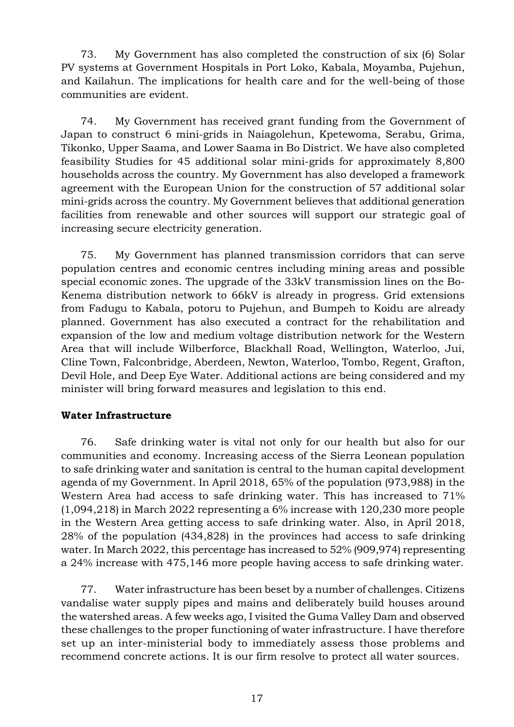73. My Government has also completed the construction of six (6) Solar PV systems at Government Hospitals in Port Loko, Kabala, Moyamba, Pujehun, and Kailahun. The implications for health care and for the well-being of those communities are evident.

74. My Government has received grant funding from the Government of Japan to construct 6 mini-grids in Naiagolehun, Kpetewoma, Serabu, Grima, Tikonko, Upper Saama, and Lower Saama in Bo District. We have also completed feasibility Studies for 45 additional solar mini-grids for approximately 8,800 households across the country. My Government has also developed a framework agreement with the European Union for the construction of 57 additional solar mini-grids across the country. My Government believes that additional generation facilities from renewable and other sources will support our strategic goal of increasing secure electricity generation.

75. My Government has planned transmission corridors that can serve population centres and economic centres including mining areas and possible special economic zones. The upgrade of the 33kV transmission lines on the Bo-Kenema distribution network to 66kV is already in progress. Grid extensions from Fadugu to Kabala, potoru to Pujehun, and Bumpeh to Koidu are already planned. Government has also executed a contract for the rehabilitation and expansion of the low and medium voltage distribution network for the Western Area that will include Wilberforce, Blackhall Road, Wellington, Waterloo, Jui, Cline Town, Falconbridge, Aberdeen, Newton, Waterloo, Tombo, Regent, Grafton, Devil Hole, and Deep Eye Water. Additional actions are being considered and my minister will bring forward measures and legislation to this end.

# Water Infrastructure

76. Safe drinking water is vital not only for our health but also for our communities and economy. Increasing access of the Sierra Leonean population to safe drinking water and sanitation is central to the human capital development agenda of my Government. In April 2018, 65% of the population (973,988) in the Western Area had access to safe drinking water. This has increased to 71% (1,094,218) in March 2022 representing a 6% increase with 120,230 more people in the Western Area getting access to safe drinking water. Also, in April 2018, 28% of the population (434,828) in the provinces had access to safe drinking water. In March 2022, this percentage has increased to 52% (909,974) representing a 24% increase with 475,146 more people having access to safe drinking water.

77. Water infrastructure has been beset by a number of challenges. Citizens vandalise water supply pipes and mains and deliberately build houses around the watershed areas. A few weeks ago, I visited the Guma Valley Dam and observed these challenges to the proper functioning of water infrastructure. I have therefore set up an inter-ministerial body to immediately assess those problems and recommend concrete actions. It is our firm resolve to protect all water sources.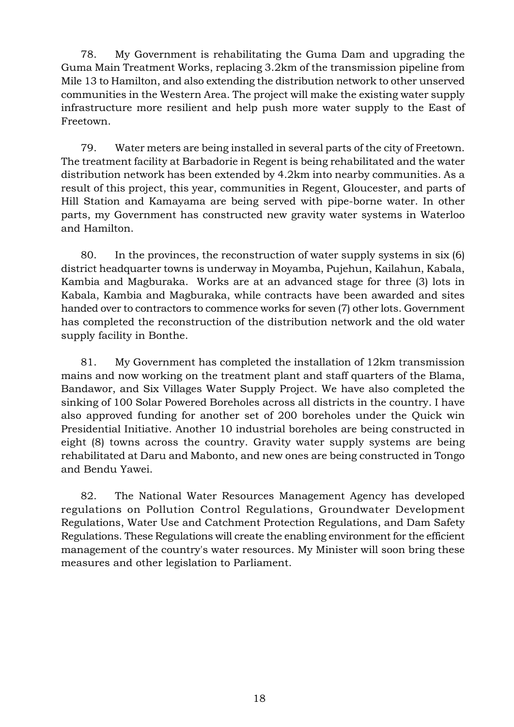78. My Government is rehabilitating the Guma Dam and upgrading the Guma Main Treatment Works, replacing 3.2km of the transmission pipeline from Mile 13 to Hamilton, and also extending the distribution network to other unserved communities in the Western Area. The project will make the existing water supply infrastructure more resilient and help push more water supply to the East of Freetown.

79. Water meters are being installed in several parts of the city of Freetown. The treatment facility at Barbadorie in Regent is being rehabilitated and the water distribution network has been extended by 4.2km into nearby communities. As a result of this project, this year, communities in Regent, Gloucester, and parts of Hill Station and Kamayama are being served with pipe-borne water. In other parts, my Government has constructed new gravity water systems in Waterloo and Hamilton.

80. In the provinces, the reconstruction of water supply systems in six (6) district headquarter towns is underway in Moyamba, Pujehun, Kailahun, Kabala, Kambia and Magburaka. Works are at an advanced stage for three (3) lots in Kabala, Kambia and Magburaka, while contracts have been awarded and sites handed over to contractors to commence works for seven (7) other lots. Government has completed the reconstruction of the distribution network and the old water supply facility in Bonthe.

81. My Government has completed the installation of 12km transmission mains and now working on the treatment plant and staff quarters of the Blama, Bandawor, and Six Villages Water Supply Project. We have also completed the sinking of 100 Solar Powered Boreholes across all districts in the country. I have also approved funding for another set of 200 boreholes under the Quick win Presidential Initiative. Another 10 industrial boreholes are being constructed in eight (8) towns across the country. Gravity water supply systems are being rehabilitated at Daru and Mabonto, and new ones are being constructed in Tongo and Bendu Yawei.

82. The National Water Resources Management Agency has developed regulations on Pollution Control Regulations, Groundwater Development Regulations, Water Use and Catchment Protection Regulations, and Dam Safety Regulations. These Regulations will create the enabling environment for the efficient management of the country's water resources. My Minister will soon bring these measures and other legislation to Parliament.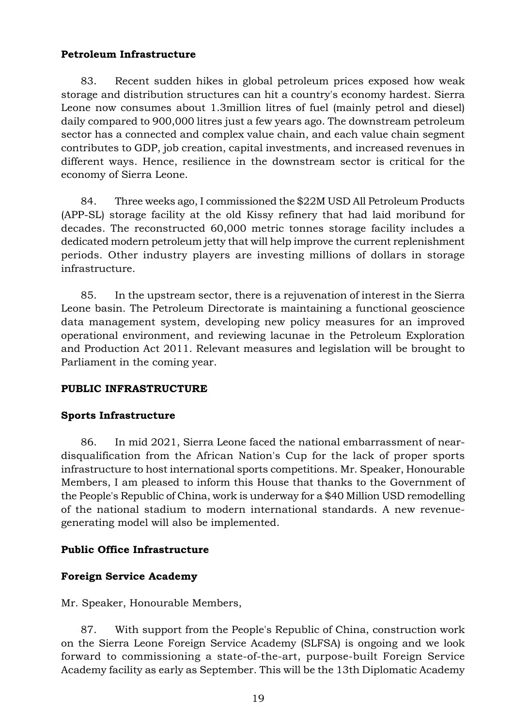# Petroleum Infrastructure

83. Recent sudden hikes in global petroleum prices exposed how weak storage and distribution structures can hit a country's economy hardest. Sierra Leone now consumes about 1.3million litres of fuel (mainly petrol and diesel) daily compared to 900,000 litres just a few years ago. The downstream petroleum sector has a connected and complex value chain, and each value chain segment contributes to GDP, job creation, capital investments, and increased revenues in different ways. Hence, resilience in the downstream sector is critical for the economy of Sierra Leone.

84. Three weeks ago, I commissioned the \$22M USD All Petroleum Products (APP-SL) storage facility at the old Kissy refinery that had laid moribund for decades. The reconstructed 60,000 metric tonnes storage facility includes a dedicated modern petroleum jetty that will help improve the current replenishment periods. Other industry players are investing millions of dollars in storage infrastructure.

85. In the upstream sector, there is a rejuvenation of interest in the Sierra Leone basin. The Petroleum Directorate is maintaining a functional geoscience data management system, developing new policy measures for an improved operational environment, and reviewing lacunae in the Petroleum Exploration and Production Act 2011. Relevant measures and legislation will be brought to Parliament in the coming year.

# PUBLIC INFRASTRUCTURE

# Sports Infrastructure

86. In mid 2021, Sierra Leone faced the national embarrassment of neardisqualification from the African Nation's Cup for the lack of proper sports infrastructure to host international sports competitions. Mr. Speaker, Honourable Members, I am pleased to inform this House that thanks to the Government of the People's Republic of China, work is underway for a \$40 Million USD remodelling of the national stadium to modern international standards. A new revenuegenerating model will also be implemented.

# Public Office Infrastructure

# Foreign Service Academy

Mr. Speaker, Honourable Members,

87. With support from the People's Republic of China, construction work on the Sierra Leone Foreign Service Academy (SLFSA) is ongoing and we look forward to commissioning a state-of-the-art, purpose-built Foreign Service Academy facility as early as September. This will be the 13th Diplomatic Academy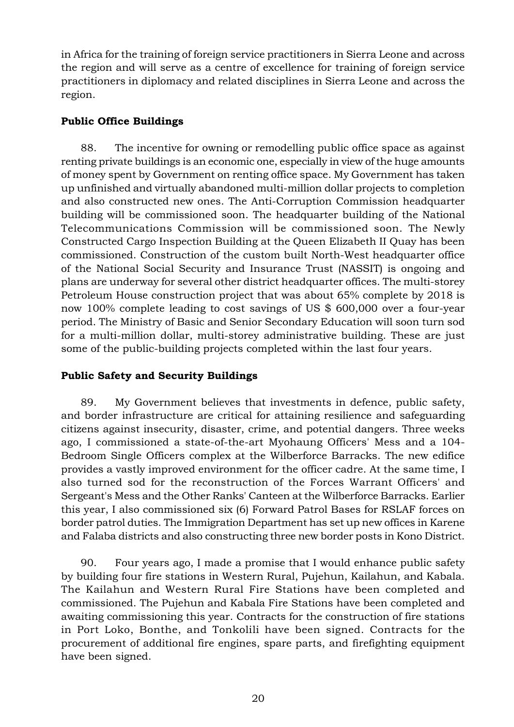in Africa for the training of foreign service practitioners in Sierra Leone and across the region and will serve as a centre of excellence for training of foreign service practitioners in diplomacy and related disciplines in Sierra Leone and across the region.

# Public Office Buildings

88. The incentive for owning or remodelling public office space as against renting private buildings is an economic one, especially in view of the huge amounts of money spent by Government on renting office space. My Government has taken up unfinished and virtually abandoned multi-million dollar projects to completion and also constructed new ones. The Anti-Corruption Commission headquarter building will be commissioned soon. The headquarter building of the National Telecommunications Commission will be commissioned soon. The Newly Constructed Cargo Inspection Building at the Queen Elizabeth II Quay has been commissioned. Construction of the custom built North-West headquarter office of the National Social Security and Insurance Trust (NASSIT) is ongoing and plans are underway for several other district headquarter offices. The multi-storey Petroleum House construction project that was about 65% complete by 2018 is now 100% complete leading to cost savings of US \$ 600,000 over a four-year period. The Ministry of Basic and Senior Secondary Education will soon turn sod for a multi-million dollar, multi-storey administrative building. These are just some of the public-building projects completed within the last four years.

# Public Safety and Security Buildings

89. My Government believes that investments in defence, public safety, and border infrastructure are critical for attaining resilience and safeguarding citizens against insecurity, disaster, crime, and potential dangers. Three weeks ago, I commissioned a state-of-the-art Myohaung Officers' Mess and a 104- Bedroom Single Officers complex at the Wilberforce Barracks. The new edifice provides a vastly improved environment for the officer cadre. At the same time, I also turned sod for the reconstruction of the Forces Warrant Officers' and Sergeant's Mess and the Other Ranks' Canteen at the Wilberforce Barracks. Earlier this year, I also commissioned six (6) Forward Patrol Bases for RSLAF forces on border patrol duties. The Immigration Department has set up new offices in Karene and Falaba districts and also constructing three new border posts in Kono District.

90. Four years ago, I made a promise that I would enhance public safety by building four fire stations in Western Rural, Pujehun, Kailahun, and Kabala. The Kailahun and Western Rural Fire Stations have been completed and commissioned. The Pujehun and Kabala Fire Stations have been completed and awaiting commissioning this year. Contracts for the construction of fire stations in Port Loko, Bonthe, and Tonkolili have been signed. Contracts for the procurement of additional fire engines, spare parts, and firefighting equipment have been signed.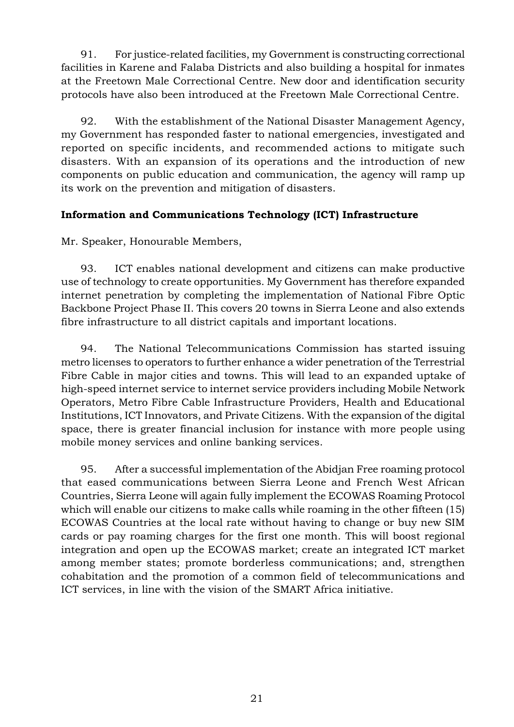91. For justice-related facilities, my Government is constructing correctional facilities in Karene and Falaba Districts and also building a hospital for inmates at the Freetown Male Correctional Centre. New door and identification security protocols have also been introduced at the Freetown Male Correctional Centre.

92. With the establishment of the National Disaster Management Agency, my Government has responded faster to national emergencies, investigated and reported on specific incidents, and recommended actions to mitigate such disasters. With an expansion of its operations and the introduction of new components on public education and communication, the agency will ramp up its work on the prevention and mitigation of disasters.

# Information and Communications Technology (ICT) Infrastructure

Mr. Speaker, Honourable Members,

93. ICT enables national development and citizens can make productive use of technology to create opportunities. My Government has therefore expanded internet penetration by completing the implementation of National Fibre Optic Backbone Project Phase II. This covers 20 towns in Sierra Leone and also extends fibre infrastructure to all district capitals and important locations.

94. The National Telecommunications Commission has started issuing metro licenses to operators to further enhance a wider penetration of the Terrestrial Fibre Cable in major cities and towns. This will lead to an expanded uptake of high-speed internet service to internet service providers including Mobile Network Operators, Metro Fibre Cable Infrastructure Providers, Health and Educational Institutions, ICT Innovators, and Private Citizens. With the expansion of the digital space, there is greater financial inclusion for instance with more people using mobile money services and online banking services.

95. After a successful implementation of the Abidjan Free roaming protocol that eased communications between Sierra Leone and French West African Countries, Sierra Leone will again fully implement the ECOWAS Roaming Protocol which will enable our citizens to make calls while roaming in the other fifteen (15) ECOWAS Countries at the local rate without having to change or buy new SIM cards or pay roaming charges for the first one month. This will boost regional integration and open up the ECOWAS market; create an integrated ICT market among member states; promote borderless communications; and, strengthen cohabitation and the promotion of a common field of telecommunications and ICT services, in line with the vision of the SMART Africa initiative.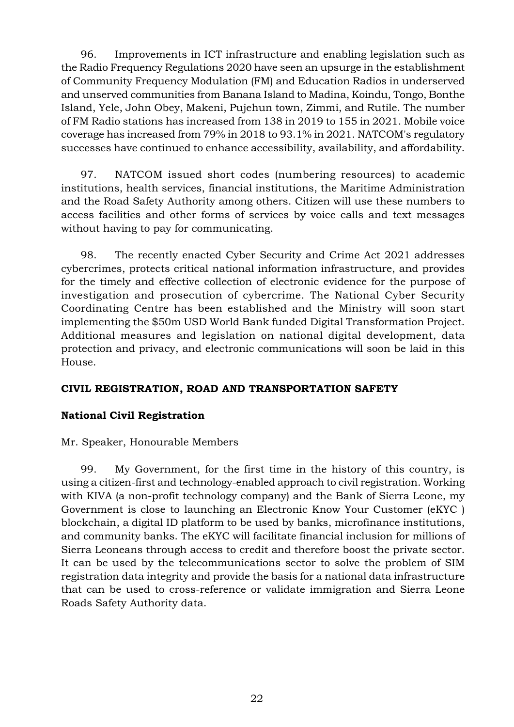96. Improvements in ICT infrastructure and enabling legislation such as the Radio Frequency Regulations 2020 have seen an upsurge in the establishment of Community Frequency Modulation (FM) and Education Radios in underserved and unserved communities from Banana Island to Madina, Koindu, Tongo, Bonthe Island, Yele, John Obey, Makeni, Pujehun town, Zimmi, and Rutile. The number of FM Radio stations has increased from 138 in 2019 to 155 in 2021. Mobile voice coverage has increased from 79% in 2018 to 93.1% in 2021. NATCOM's regulatory successes have continued to enhance accessibility, availability, and affordability.

97. NATCOM issued short codes (numbering resources) to academic institutions, health services, financial institutions, the Maritime Administration and the Road Safety Authority among others. Citizen will use these numbers to access facilities and other forms of services by voice calls and text messages without having to pay for communicating.

98. The recently enacted Cyber Security and Crime Act 2021 addresses cybercrimes, protects critical national information infrastructure, and provides for the timely and effective collection of electronic evidence for the purpose of investigation and prosecution of cybercrime. The National Cyber Security Coordinating Centre has been established and the Ministry will soon start implementing the \$50m USD World Bank funded Digital Transformation Project. Additional measures and legislation on national digital development, data protection and privacy, and electronic communications will soon be laid in this House.

# CIVIL REGISTRATION, ROAD AND TRANSPORTATION SAFETY

# National Civil Registration

Mr. Speaker, Honourable Members

99. My Government, for the first time in the history of this country, is using a citizen-first and technology-enabled approach to civil registration. Working with KIVA (a non-profit technology company) and the Bank of Sierra Leone, my Government is close to launching an Electronic Know Your Customer (eKYC ) blockchain, a digital ID platform to be used by banks, microfinance institutions, and community banks. The eKYC will facilitate financial inclusion for millions of Sierra Leoneans through access to credit and therefore boost the private sector. It can be used by the telecommunications sector to solve the problem of SIM registration data integrity and provide the basis for a national data infrastructure that can be used to cross-reference or validate immigration and Sierra Leone Roads Safety Authority data.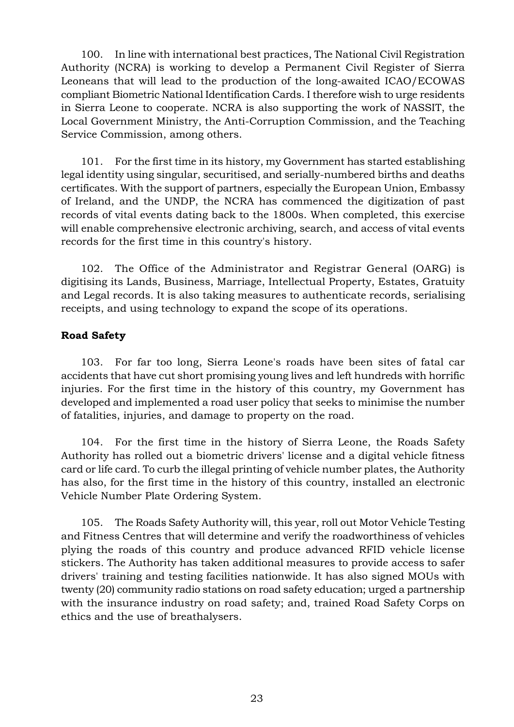100. In line with international best practices, The National Civil Registration Authority (NCRA) is working to develop a Permanent Civil Register of Sierra Leoneans that will lead to the production of the long-awaited ICAO/ECOWAS compliant Biometric National Identification Cards. I therefore wish to urge residents in Sierra Leone to cooperate. NCRA is also supporting the work of NASSIT, the Local Government Ministry, the Anti-Corruption Commission, and the Teaching Service Commission, among others.

101. For the first time in its history, my Government has started establishing legal identity using singular, securitised, and serially-numbered births and deaths certificates. With the support of partners, especially the European Union, Embassy of Ireland, and the UNDP, the NCRA has commenced the digitization of past records of vital events dating back to the 1800s. When completed, this exercise will enable comprehensive electronic archiving, search, and access of vital events records for the first time in this country's history.

102. The Office of the Administrator and Registrar General (OARG) is digitising its Lands, Business, Marriage, Intellectual Property, Estates, Gratuity and Legal records. It is also taking measures to authenticate records, serialising receipts, and using technology to expand the scope of its operations.

# Road Safety

103. For far too long, Sierra Leone's roads have been sites of fatal car accidents that have cut short promising young lives and left hundreds with horrific injuries. For the first time in the history of this country, my Government has developed and implemented a road user policy that seeks to minimise the number of fatalities, injuries, and damage to property on the road.

104. For the first time in the history of Sierra Leone, the Roads Safety Authority has rolled out a biometric drivers' license and a digital vehicle fitness card or life card. To curb the illegal printing of vehicle number plates, the Authority has also, for the first time in the history of this country, installed an electronic Vehicle Number Plate Ordering System.

105. The Roads Safety Authority will, this year, roll out Motor Vehicle Testing and Fitness Centres that will determine and verify the roadworthiness of vehicles plying the roads of this country and produce advanced RFID vehicle license stickers. The Authority has taken additional measures to provide access to safer drivers' training and testing facilities nationwide. It has also signed MOUs with twenty (20) community radio stations on road safety education; urged a partnership with the insurance industry on road safety; and, trained Road Safety Corps on ethics and the use of breathalysers.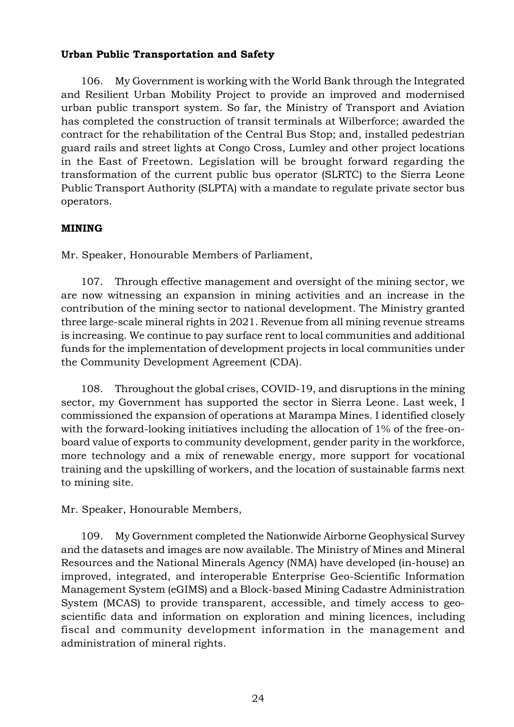# Urban Public Transportation and Safety

106. My Government is working with the World Bank through the Integrated and Resilient Urban Mobility Project to provide an improved and modernised urban public transport system. So far, the Ministry of Transport and Aviation has completed the construction of transit terminals at Wilberforce; awarded the contract for the rehabilitation of the Central Bus Stop; and, installed pedestrian guard rails and street lights at Congo Cross, Lumley and other project locations in the East of Freetown. Legislation will be brought forward regarding the transformation of the current public bus operator (SLRTC) to the Sierra Leone Public Transport Authority (SLPTA) with a mandate to regulate private sector bus operators.

## MINING

Mr. Speaker, Honourable Members of Parliament,

107. Through effective management and oversight of the mining sector, we are now witnessing an expansion in mining activities and an increase in the contribution of the mining sector to national development. The Ministry granted three large-scale mineral rights in 2021. Revenue from all mining revenue streams is increasing. We continue to pay surface rent to local communities and additional funds for the implementation of development projects in local communities under the Community Development Agreement (CDA).

108. Throughout the global crises, COVID-19, and disruptions in the mining sector, my Government has supported the sector in Sierra Leone. Last week, I commissioned the expansion of operations at Marampa Mines. I identified closely with the forward-looking initiatives including the allocation of 1% of the free-onboard value of exports to community development, gender parity in the workforce, more technology and a mix of renewable energy, more support for vocational training and the upskilling of workers, and the location of sustainable farms next to mining site.

Mr. Speaker, Honourable Members,

109. My Government completed the Nationwide Airborne Geophysical Survey and the datasets and images are now available. The Ministry of Mines and Mineral Resources and the National Minerals Agency (NMA) have developed (in-house) an improved, integrated, and interoperable Enterprise Geo-Scientific Information Management System (eGIMS) and a Block-based Mining Cadastre Administration System (MCAS) to provide transparent, accessible, and timely access to geoscientific data and information on exploration and mining licences, including fiscal and community development information in the management and administration of mineral rights.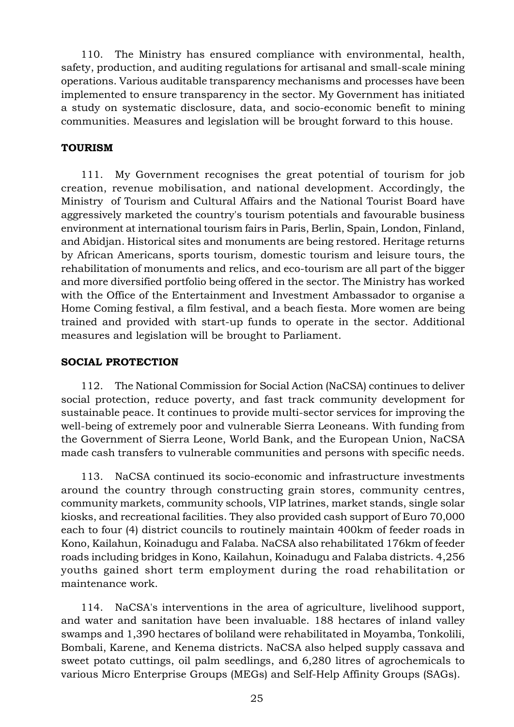110. The Ministry has ensured compliance with environmental, health, safety, production, and auditing regulations for artisanal and small-scale mining operations. Various auditable transparency mechanisms and processes have been implemented to ensure transparency in the sector. My Government has initiated a study on systematic disclosure, data, and socio-economic benefit to mining communities. Measures and legislation will be brought forward to this house.

## TOURISM

111. My Government recognises the great potential of tourism for job creation, revenue mobilisation, and national development. Accordingly, the Ministry of Tourism and Cultural Affairs and the National Tourist Board have aggressively marketed the country's tourism potentials and favourable business environment at international tourism fairs in Paris, Berlin, Spain, London, Finland, and Abidjan. Historical sites and monuments are being restored. Heritage returns by African Americans, sports tourism, domestic tourism and leisure tours, the rehabilitation of monuments and relics, and eco-tourism are all part of the bigger and more diversified portfolio being offered in the sector. The Ministry has worked with the Office of the Entertainment and Investment Ambassador to organise a Home Coming festival, a film festival, and a beach fiesta. More women are being trained and provided with start-up funds to operate in the sector. Additional measures and legislation will be brought to Parliament.

#### SOCIAL PROTECTION

112. The National Commission for Social Action (NaCSA) continues to deliver social protection, reduce poverty, and fast track community development for sustainable peace. It continues to provide multi-sector services for improving the well-being of extremely poor and vulnerable Sierra Leoneans. With funding from the Government of Sierra Leone, World Bank, and the European Union, NaCSA made cash transfers to vulnerable communities and persons with specific needs.

113. NaCSA continued its socio-economic and infrastructure investments around the country through constructing grain stores, community centres, community markets, community schools, VIP latrines, market stands, single solar kiosks, and recreational facilities. They also provided cash support of Euro 70,000 each to four (4) district councils to routinely maintain 400km of feeder roads in Kono, Kailahun, Koinadugu and Falaba. NaCSA also rehabilitated 176km of feeder roads including bridges in Kono, Kailahun, Koinadugu and Falaba districts. 4,256 youths gained short term employment during the road rehabilitation or maintenance work.

114. NaCSA's interventions in the area of agriculture, livelihood support, and water and sanitation have been invaluable. 188 hectares of inland valley swamps and 1,390 hectares of boliland were rehabilitated in Moyamba, Tonkolili, Bombali, Karene, and Kenema districts. NaCSA also helped supply cassava and sweet potato cuttings, oil palm seedlings, and 6,280 litres of agrochemicals to various Micro Enterprise Groups (MEGs) and Self-Help Affinity Groups (SAGs).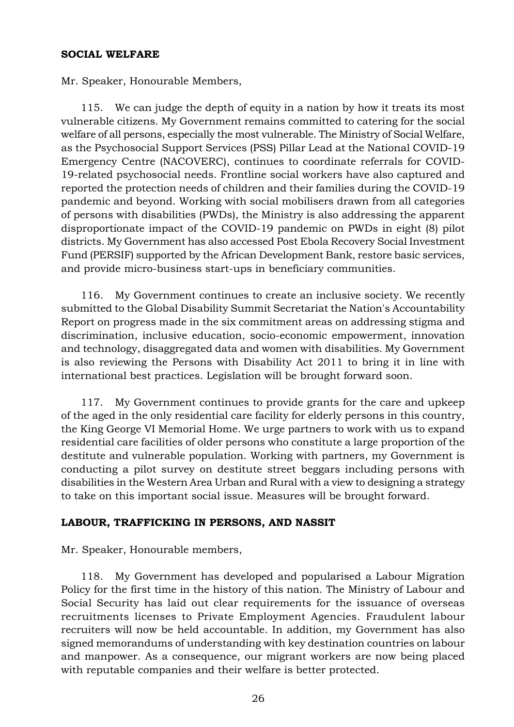#### SOCIAL WELFARE

Mr. Speaker, Honourable Members,

115. We can judge the depth of equity in a nation by how it treats its most vulnerable citizens. My Government remains committed to catering for the social welfare of all persons, especially the most vulnerable. The Ministry of Social Welfare, as the Psychosocial Support Services (PSS) Pillar Lead at the National COVID-19 Emergency Centre (NACOVERC), continues to coordinate referrals for COVID-19-related psychosocial needs. Frontline social workers have also captured and reported the protection needs of children and their families during the COVID-19 pandemic and beyond. Working with social mobilisers drawn from all categories of persons with disabilities (PWDs), the Ministry is also addressing the apparent disproportionate impact of the COVID-19 pandemic on PWDs in eight (8) pilot districts. My Government has also accessed Post Ebola Recovery Social Investment Fund (PERSIF) supported by the African Development Bank, restore basic services, and provide micro-business start-ups in beneficiary communities.

116. My Government continues to create an inclusive society. We recently submitted to the Global Disability Summit Secretariat the Nation's Accountability Report on progress made in the six commitment areas on addressing stigma and discrimination, inclusive education, socio-economic empowerment, innovation and technology, disaggregated data and women with disabilities. My Government is also reviewing the Persons with Disability Act 2011 to bring it in line with international best practices. Legislation will be brought forward soon.

117. My Government continues to provide grants for the care and upkeep of the aged in the only residential care facility for elderly persons in this country, the King George VI Memorial Home. We urge partners to work with us to expand residential care facilities of older persons who constitute a large proportion of the destitute and vulnerable population. Working with partners, my Government is conducting a pilot survey on destitute street beggars including persons with disabilities in the Western Area Urban and Rural with a view to designing a strategy to take on this important social issue. Measures will be brought forward.

## LABOUR, TRAFFICKING IN PERSONS, AND NASSIT

Mr. Speaker, Honourable members,

118. My Government has developed and popularised a Labour Migration Policy for the first time in the history of this nation. The Ministry of Labour and Social Security has laid out clear requirements for the issuance of overseas recruitments licenses to Private Employment Agencies. Fraudulent labour recruiters will now be held accountable. In addition, my Government has also signed memorandums of understanding with key destination countries on labour and manpower. As a consequence, our migrant workers are now being placed with reputable companies and their welfare is better protected.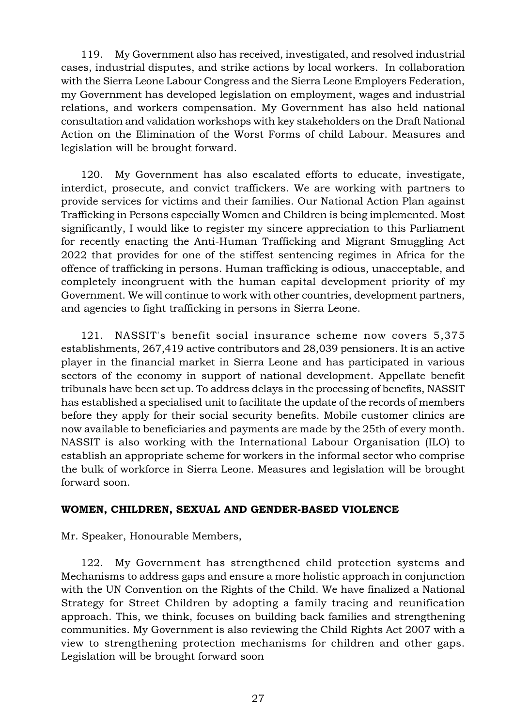119. My Government also has received, investigated, and resolved industrial cases, industrial disputes, and strike actions by local workers. In collaboration with the Sierra Leone Labour Congress and the Sierra Leone Employers Federation, my Government has developed legislation on employment, wages and industrial relations, and workers compensation. My Government has also held national consultation and validation workshops with key stakeholders on the Draft National Action on the Elimination of the Worst Forms of child Labour. Measures and legislation will be brought forward.

120. My Government has also escalated efforts to educate, investigate, interdict, prosecute, and convict traffickers. We are working with partners to provide services for victims and their families. Our National Action Plan against Trafficking in Persons especially Women and Children is being implemented. Most significantly, I would like to register my sincere appreciation to this Parliament for recently enacting the Anti-Human Trafficking and Migrant Smuggling Act 2022 that provides for one of the stiffest sentencing regimes in Africa for the offence of trafficking in persons. Human trafficking is odious, unacceptable, and completely incongruent with the human capital development priority of my Government. We will continue to work with other countries, development partners, and agencies to fight trafficking in persons in Sierra Leone.

121. NASSIT's benefit social insurance scheme now covers 5,375 establishments, 267,419 active contributors and 28,039 pensioners. It is an active player in the financial market in Sierra Leone and has participated in various sectors of the economy in support of national development. Appellate benefit tribunals have been set up. To address delays in the processing of benefits, NASSIT has established a specialised unit to facilitate the update of the records of members before they apply for their social security benefits. Mobile customer clinics are now available to beneficiaries and payments are made by the 25th of every month. NASSIT is also working with the International Labour Organisation (ILO) to establish an appropriate scheme for workers in the informal sector who comprise the bulk of workforce in Sierra Leone. Measures and legislation will be brought forward soon.

## WOMEN, CHILDREN, SEXUAL AND GENDER-BASED VIOLENCE

Mr. Speaker, Honourable Members,

122. My Government has strengthened child protection systems and Mechanisms to address gaps and ensure a more holistic approach in conjunction with the UN Convention on the Rights of the Child. We have finalized a National Strategy for Street Children by adopting a family tracing and reunification approach. This, we think, focuses on building back families and strengthening communities. My Government is also reviewing the Child Rights Act 2007 with a view to strengthening protection mechanisms for children and other gaps. Legislation will be brought forward soon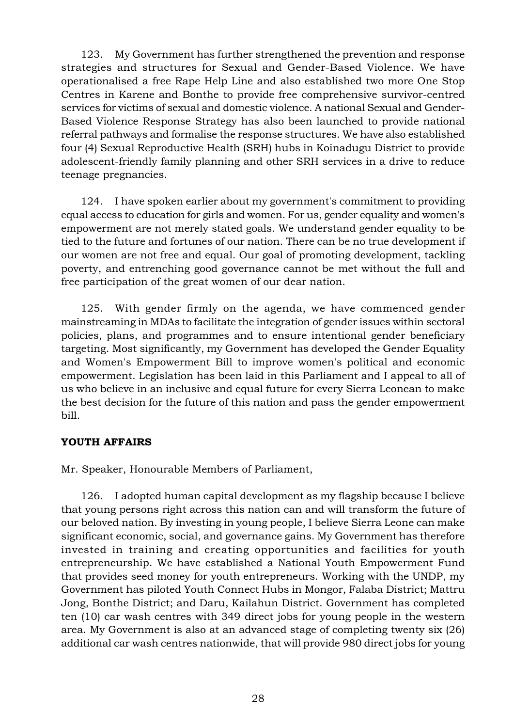123. My Government has further strengthened the prevention and response strategies and structures for Sexual and Gender-Based Violence. We have operationalised a free Rape Help Line and also established two more One Stop Centres in Karene and Bonthe to provide free comprehensive survivor-centred services for victims of sexual and domestic violence. A national Sexual and Gender-Based Violence Response Strategy has also been launched to provide national referral pathways and formalise the response structures. We have also established four (4) Sexual Reproductive Health (SRH) hubs in Koinadugu District to provide adolescent-friendly family planning and other SRH services in a drive to reduce teenage pregnancies.

124. I have spoken earlier about my government's commitment to providing equal access to education for girls and women. For us, gender equality and women's empowerment are not merely stated goals. We understand gender equality to be tied to the future and fortunes of our nation. There can be no true development if our women are not free and equal. Our goal of promoting development, tackling poverty, and entrenching good governance cannot be met without the full and free participation of the great women of our dear nation.

125. With gender firmly on the agenda, we have commenced gender mainstreaming in MDAs to facilitate the integration of gender issues within sectoral policies, plans, and programmes and to ensure intentional gender beneficiary targeting. Most significantly, my Government has developed the Gender Equality and Women's Empowerment Bill to improve women's political and economic empowerment. Legislation has been laid in this Parliament and I appeal to all of us who believe in an inclusive and equal future for every Sierra Leonean to make the best decision for the future of this nation and pass the gender empowerment bill.

## YOUTH AFFAIRS

Mr. Speaker, Honourable Members of Parliament,

126. I adopted human capital development as my flagship because I believe that young persons right across this nation can and will transform the future of our beloved nation. By investing in young people, I believe Sierra Leone can make significant economic, social, and governance gains. My Government has therefore invested in training and creating opportunities and facilities for youth entrepreneurship. We have established a National Youth Empowerment Fund that provides seed money for youth entrepreneurs. Working with the UNDP, my Government has piloted Youth Connect Hubs in Mongor, Falaba District; Mattru Jong, Bonthe District; and Daru, Kailahun District. Government has completed ten (10) car wash centres with 349 direct jobs for young people in the western area. My Government is also at an advanced stage of completing twenty six (26) additional car wash centres nationwide, that will provide 980 direct jobs for young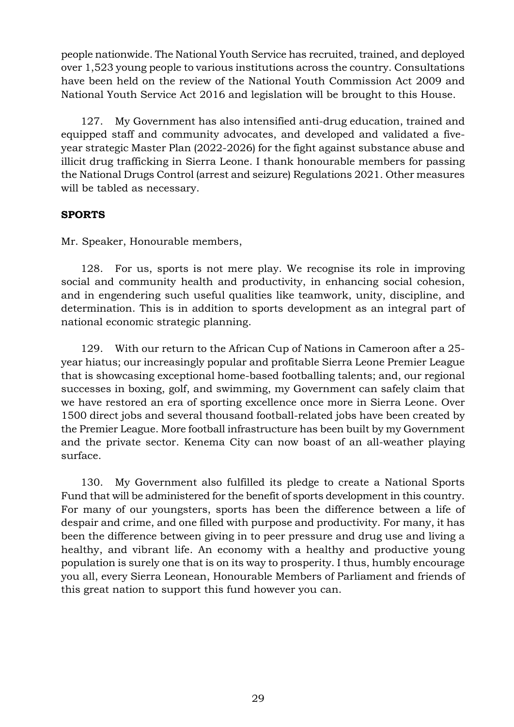people nationwide. The National Youth Service has recruited, trained, and deployed over 1,523 young people to various institutions across the country. Consultations have been held on the review of the National Youth Commission Act 2009 and National Youth Service Act 2016 and legislation will be brought to this House.

127. My Government has also intensified anti-drug education, trained and equipped staff and community advocates, and developed and validated a fiveyear strategic Master Plan (2022-2026) for the fight against substance abuse and illicit drug trafficking in Sierra Leone. I thank honourable members for passing the National Drugs Control (arrest and seizure) Regulations 2021. Other measures will be tabled as necessary.

# SPORTS

Mr. Speaker, Honourable members,

128. For us, sports is not mere play. We recognise its role in improving social and community health and productivity, in enhancing social cohesion, and in engendering such useful qualities like teamwork, unity, discipline, and determination. This is in addition to sports development as an integral part of national economic strategic planning.

129. With our return to the African Cup of Nations in Cameroon after a 25 year hiatus; our increasingly popular and profitable Sierra Leone Premier League that is showcasing exceptional home-based footballing talents; and, our regional successes in boxing, golf, and swimming, my Government can safely claim that we have restored an era of sporting excellence once more in Sierra Leone. Over 1500 direct jobs and several thousand football-related jobs have been created by the Premier League. More football infrastructure has been built by my Government and the private sector. Kenema City can now boast of an all-weather playing surface.

130. My Government also fulfilled its pledge to create a National Sports Fund that will be administered for the benefit of sports development in this country. For many of our youngsters, sports has been the difference between a life of despair and crime, and one filled with purpose and productivity. For many, it has been the difference between giving in to peer pressure and drug use and living a healthy, and vibrant life. An economy with a healthy and productive young population is surely one that is on its way to prosperity. I thus, humbly encourage you all, every Sierra Leonean, Honourable Members of Parliament and friends of this great nation to support this fund however you can.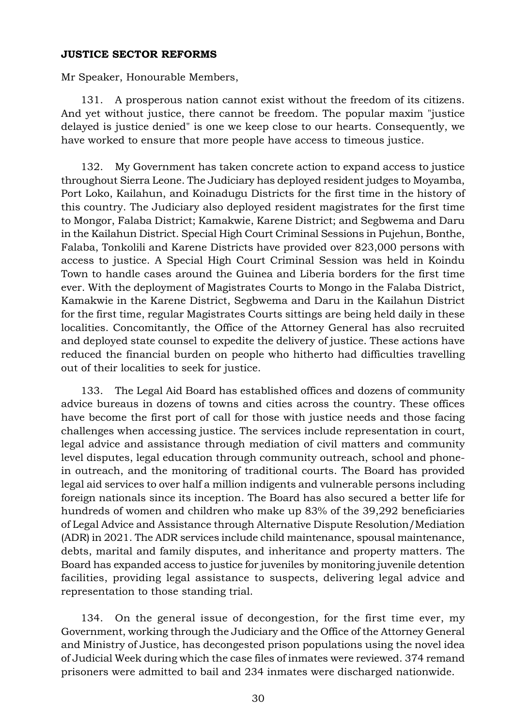#### JUSTICE SECTOR REFORMS

Mr Speaker, Honourable Members,

131. A prosperous nation cannot exist without the freedom of its citizens. And yet without justice, there cannot be freedom. The popular maxim "justice delayed is justice denied" is one we keep close to our hearts. Consequently, we have worked to ensure that more people have access to timeous justice.

132. My Government has taken concrete action to expand access to justice throughout Sierra Leone. The Judiciary has deployed resident judges to Moyamba, Port Loko, Kailahun, and Koinadugu Districts for the first time in the history of this country. The Judiciary also deployed resident magistrates for the first time to Mongor, Falaba District; Kamakwie, Karene District; and Segbwema and Daru in the Kailahun District. Special High Court Criminal Sessions in Pujehun, Bonthe, Falaba, Tonkolili and Karene Districts have provided over 823,000 persons with access to justice. A Special High Court Criminal Session was held in Koindu Town to handle cases around the Guinea and Liberia borders for the first time ever. With the deployment of Magistrates Courts to Mongo in the Falaba District, Kamakwie in the Karene District, Segbwema and Daru in the Kailahun District for the first time, regular Magistrates Courts sittings are being held daily in these localities. Concomitantly, the Office of the Attorney General has also recruited and deployed state counsel to expedite the delivery of justice. These actions have reduced the financial burden on people who hitherto had difficulties travelling out of their localities to seek for justice.

133. The Legal Aid Board has established offices and dozens of community advice bureaus in dozens of towns and cities across the country. These offices have become the first port of call for those with justice needs and those facing challenges when accessing justice. The services include representation in court, legal advice and assistance through mediation of civil matters and community level disputes, legal education through community outreach, school and phonein outreach, and the monitoring of traditional courts. The Board has provided legal aid services to over half a million indigents and vulnerable persons including foreign nationals since its inception. The Board has also secured a better life for hundreds of women and children who make up 83% of the 39,292 beneficiaries of Legal Advice and Assistance through Alternative Dispute Resolution/Mediation (ADR) in 2021. The ADR services include child maintenance, spousal maintenance, debts, marital and family disputes, and inheritance and property matters. The Board has expanded access to justice for juveniles by monitoring juvenile detention facilities, providing legal assistance to suspects, delivering legal advice and representation to those standing trial.

134. On the general issue of decongestion, for the first time ever, my Government, working through the Judiciary and the Office of the Attorney General and Ministry of Justice, has decongested prison populations using the novel idea of Judicial Week during which the case files of inmates were reviewed. 374 remand prisoners were admitted to bail and 234 inmates were discharged nationwide.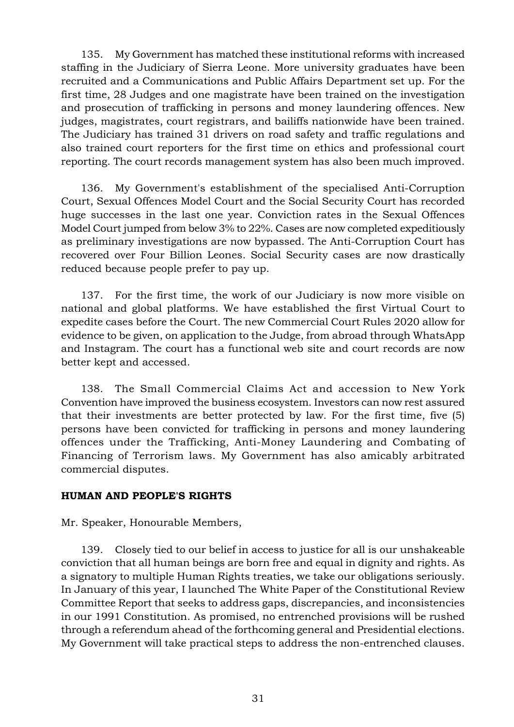135. My Government has matched these institutional reforms with increased staffing in the Judiciary of Sierra Leone. More university graduates have been recruited and a Communications and Public Affairs Department set up. For the first time, 28 Judges and one magistrate have been trained on the investigation and prosecution of trafficking in persons and money laundering offences. New judges, magistrates, court registrars, and bailiffs nationwide have been trained. The Judiciary has trained 31 drivers on road safety and traffic regulations and also trained court reporters for the first time on ethics and professional court reporting. The court records management system has also been much improved.

136. My Government's establishment of the specialised Anti-Corruption Court, Sexual Offences Model Court and the Social Security Court has recorded huge successes in the last one year. Conviction rates in the Sexual Offences Model Court jumped from below 3% to 22%. Cases are now completed expeditiously as preliminary investigations are now bypassed. The Anti-Corruption Court has recovered over Four Billion Leones. Social Security cases are now drastically reduced because people prefer to pay up.

137. For the first time, the work of our Judiciary is now more visible on national and global platforms. We have established the first Virtual Court to expedite cases before the Court. The new Commercial Court Rules 2020 allow for evidence to be given, on application to the Judge, from abroad through WhatsApp and Instagram. The court has a functional web site and court records are now better kept and accessed.

138. The Small Commercial Claims Act and accession to New York Convention have improved the business ecosystem. Investors can now rest assured that their investments are better protected by law. For the first time, five (5) persons have been convicted for trafficking in persons and money laundering offences under the Trafficking, Anti-Money Laundering and Combating of Financing of Terrorism laws. My Government has also amicably arbitrated commercial disputes.

## HUMAN AND PEOPLE'S RIGHTS

Mr. Speaker, Honourable Members,

139. Closely tied to our belief in access to justice for all is our unshakeable conviction that all human beings are born free and equal in dignity and rights. As a signatory to multiple Human Rights treaties, we take our obligations seriously. In January of this year, I launched The White Paper of the Constitutional Review Committee Report that seeks to address gaps, discrepancies, and inconsistencies in our 1991 Constitution. As promised, no entrenched provisions will be rushed through a referendum ahead of the forthcoming general and Presidential elections. My Government will take practical steps to address the non-entrenched clauses.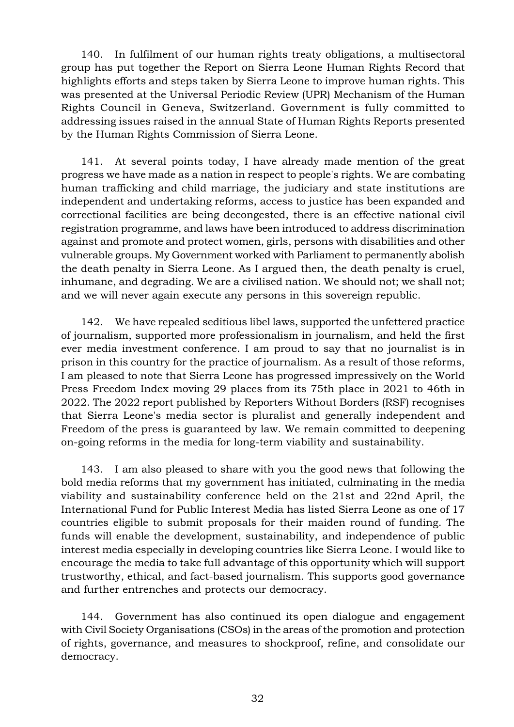140. In fulfilment of our human rights treaty obligations, a multisectoral group has put together the Report on Sierra Leone Human Rights Record that highlights efforts and steps taken by Sierra Leone to improve human rights. This was presented at the Universal Periodic Review (UPR) Mechanism of the Human Rights Council in Geneva, Switzerland. Government is fully committed to addressing issues raised in the annual State of Human Rights Reports presented by the Human Rights Commission of Sierra Leone.

141. At several points today, I have already made mention of the great progress we have made as a nation in respect to people's rights. We are combating human trafficking and child marriage, the judiciary and state institutions are independent and undertaking reforms, access to justice has been expanded and correctional facilities are being decongested, there is an effective national civil registration programme, and laws have been introduced to address discrimination against and promote and protect women, girls, persons with disabilities and other vulnerable groups. My Government worked with Parliament to permanently abolish the death penalty in Sierra Leone. As I argued then, the death penalty is cruel, inhumane, and degrading. We are a civilised nation. We should not; we shall not; and we will never again execute any persons in this sovereign republic.

142. We have repealed seditious libel laws, supported the unfettered practice of journalism, supported more professionalism in journalism, and held the first ever media investment conference. I am proud to say that no journalist is in prison in this country for the practice of journalism. As a result of those reforms, I am pleased to note that Sierra Leone has progressed impressively on the World Press Freedom Index moving 29 places from its 75th place in 2021 to 46th in 2022. The 2022 report published by Reporters Without Borders (RSF) recognises that Sierra Leone's media sector is pluralist and generally independent and Freedom of the press is guaranteed by law. We remain committed to deepening on-going reforms in the media for long-term viability and sustainability.

143. I am also pleased to share with you the good news that following the bold media reforms that my government has initiated, culminating in the media viability and sustainability conference held on the 21st and 22nd April, the International Fund for Public Interest Media has listed Sierra Leone as one of 17 countries eligible to submit proposals for their maiden round of funding. The funds will enable the development, sustainability, and independence of public interest media especially in developing countries like Sierra Leone. I would like to encourage the media to take full advantage of this opportunity which will support trustworthy, ethical, and fact-based journalism. This supports good governance and further entrenches and protects our democracy.

144. Government has also continued its open dialogue and engagement with Civil Society Organisations (CSOs) in the areas of the promotion and protection of rights, governance, and measures to shockproof, refine, and consolidate our democracy.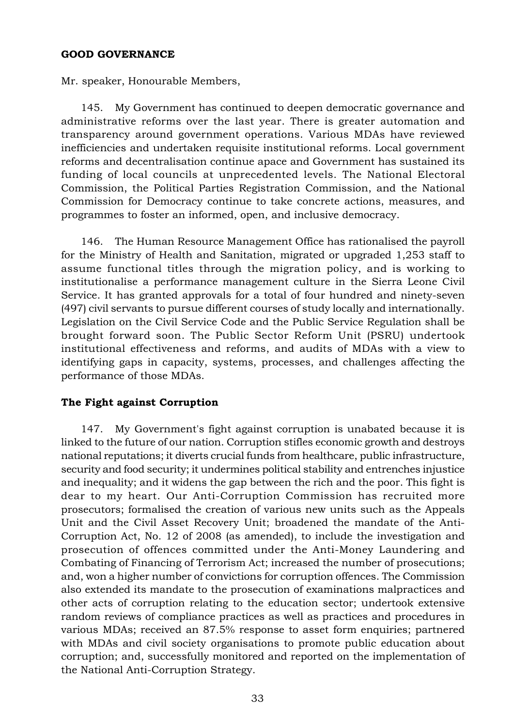#### GOOD GOVERNANCE

Mr. speaker, Honourable Members,

145. My Government has continued to deepen democratic governance and administrative reforms over the last year. There is greater automation and transparency around government operations. Various MDAs have reviewed inefficiencies and undertaken requisite institutional reforms. Local government reforms and decentralisation continue apace and Government has sustained its funding of local councils at unprecedented levels. The National Electoral Commission, the Political Parties Registration Commission, and the National Commission for Democracy continue to take concrete actions, measures, and programmes to foster an informed, open, and inclusive democracy.

146. The Human Resource Management Office has rationalised the payroll for the Ministry of Health and Sanitation, migrated or upgraded 1,253 staff to assume functional titles through the migration policy, and is working to institutionalise a performance management culture in the Sierra Leone Civil Service. It has granted approvals for a total of four hundred and ninety-seven (497) civil servants to pursue different courses of study locally and internationally. Legislation on the Civil Service Code and the Public Service Regulation shall be brought forward soon. The Public Sector Reform Unit (PSRU) undertook institutional effectiveness and reforms, and audits of MDAs with a view to identifying gaps in capacity, systems, processes, and challenges affecting the performance of those MDAs.

## The Fight against Corruption

147. My Government's fight against corruption is unabated because it is linked to the future of our nation. Corruption stifles economic growth and destroys national reputations; it diverts crucial funds from healthcare, public infrastructure, security and food security; it undermines political stability and entrenches injustice and inequality; and it widens the gap between the rich and the poor. This fight is dear to my heart. Our Anti-Corruption Commission has recruited more prosecutors; formalised the creation of various new units such as the Appeals Unit and the Civil Asset Recovery Unit; broadened the mandate of the Anti-Corruption Act, No. 12 of 2008 (as amended), to include the investigation and prosecution of offences committed under the Anti-Money Laundering and Combating of Financing of Terrorism Act; increased the number of prosecutions; and, won a higher number of convictions for corruption offences. The Commission also extended its mandate to the prosecution of examinations malpractices and other acts of corruption relating to the education sector; undertook extensive random reviews of compliance practices as well as practices and procedures in various MDAs; received an 87.5% response to asset form enquiries; partnered with MDAs and civil society organisations to promote public education about corruption; and, successfully monitored and reported on the implementation of the National Anti-Corruption Strategy.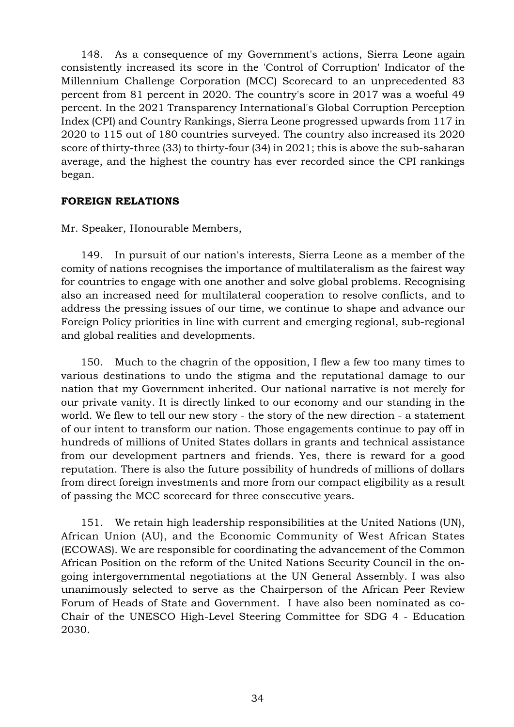148. As a consequence of my Government's actions, Sierra Leone again consistently increased its score in the 'Control of Corruption' Indicator of the Millennium Challenge Corporation (MCC) Scorecard to an unprecedented 83 percent from 81 percent in 2020. The country's score in 2017 was a woeful 49 percent. In the 2021 Transparency International's Global Corruption Perception Index (CPI) and Country Rankings, Sierra Leone progressed upwards from 117 in 2020 to 115 out of 180 countries surveyed. The country also increased its 2020 score of thirty-three (33) to thirty-four (34) in 2021; this is above the sub-saharan average, and the highest the country has ever recorded since the CPI rankings began.

## FOREIGN RELATIONS

Mr. Speaker, Honourable Members,

149. In pursuit of our nation's interests, Sierra Leone as a member of the comity of nations recognises the importance of multilateralism as the fairest way for countries to engage with one another and solve global problems. Recognising also an increased need for multilateral cooperation to resolve conflicts, and to address the pressing issues of our time, we continue to shape and advance our Foreign Policy priorities in line with current and emerging regional, sub-regional and global realities and developments.

150. Much to the chagrin of the opposition, I flew a few too many times to various destinations to undo the stigma and the reputational damage to our nation that my Government inherited. Our national narrative is not merely for our private vanity. It is directly linked to our economy and our standing in the world. We flew to tell our new story - the story of the new direction - a statement of our intent to transform our nation. Those engagements continue to pay off in hundreds of millions of United States dollars in grants and technical assistance from our development partners and friends. Yes, there is reward for a good reputation. There is also the future possibility of hundreds of millions of dollars from direct foreign investments and more from our compact eligibility as a result of passing the MCC scorecard for three consecutive years.

151. We retain high leadership responsibilities at the United Nations (UN), African Union (AU), and the Economic Community of West African States (ECOWAS). We are responsible for coordinating the advancement of the Common African Position on the reform of the United Nations Security Council in the ongoing intergovernmental negotiations at the UN General Assembly. I was also unanimously selected to serve as the Chairperson of the African Peer Review Forum of Heads of State and Government. I have also been nominated as co-Chair of the UNESCO High-Level Steering Committee for SDG 4 - Education 2030.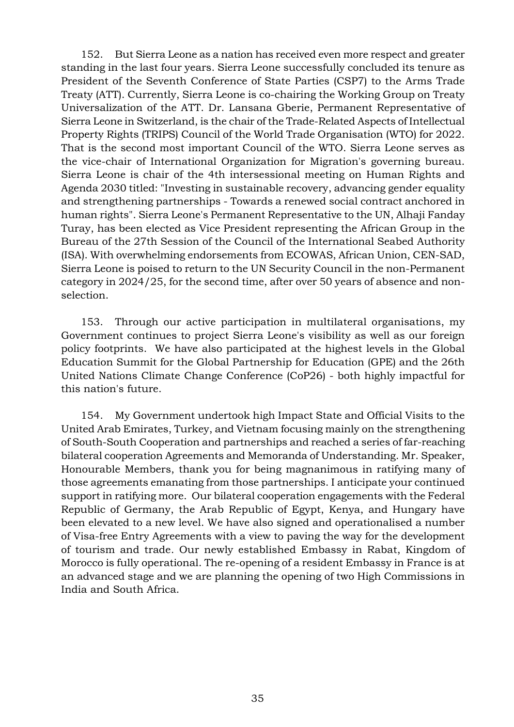152. But Sierra Leone as a nation has received even more respect and greater standing in the last four years. Sierra Leone successfully concluded its tenure as President of the Seventh Conference of State Parties (CSP7) to the Arms Trade Treaty (ATT). Currently, Sierra Leone is co-chairing the Working Group on Treaty Universalization of the ATT. Dr. Lansana Gberie, Permanent Representative of Sierra Leone in Switzerland, is the chair of the Trade-Related Aspects of Intellectual Property Rights (TRIPS) Council of the World Trade Organisation (WTO) for 2022. That is the second most important Council of the WTO. Sierra Leone serves as the vice-chair of International Organization for Migration's governing bureau. Sierra Leone is chair of the 4th intersessional meeting on Human Rights and Agenda 2030 titled: "Investing in sustainable recovery, advancing gender equality and strengthening partnerships - Towards a renewed social contract anchored in human rights". Sierra Leone's Permanent Representative to the UN, Alhaji Fanday Turay, has been elected as Vice President representing the African Group in the Bureau of the 27th Session of the Council of the International Seabed Authority (ISA). With overwhelming endorsements from ECOWAS, African Union, CEN-SAD, Sierra Leone is poised to return to the UN Security Council in the non-Permanent category in 2024/25, for the second time, after over 50 years of absence and nonselection.

153. Through our active participation in multilateral organisations, my Government continues to project Sierra Leone's visibility as well as our foreign policy footprints. We have also participated at the highest levels in the Global Education Summit for the Global Partnership for Education (GPE) and the 26th United Nations Climate Change Conference (CoP26) - both highly impactful for this nation's future.

154. My Government undertook high Impact State and Official Visits to the United Arab Emirates, Turkey, and Vietnam focusing mainly on the strengthening of South-South Cooperation and partnerships and reached a series of far-reaching bilateral cooperation Agreements and Memoranda of Understanding. Mr. Speaker, Honourable Members, thank you for being magnanimous in ratifying many of those agreements emanating from those partnerships. I anticipate your continued support in ratifying more. Our bilateral cooperation engagements with the Federal Republic of Germany, the Arab Republic of Egypt, Kenya, and Hungary have been elevated to a new level. We have also signed and operationalised a number of Visa-free Entry Agreements with a view to paving the way for the development of tourism and trade. Our newly established Embassy in Rabat, Kingdom of Morocco is fully operational. The re-opening of a resident Embassy in France is at an advanced stage and we are planning the opening of two High Commissions in India and South Africa.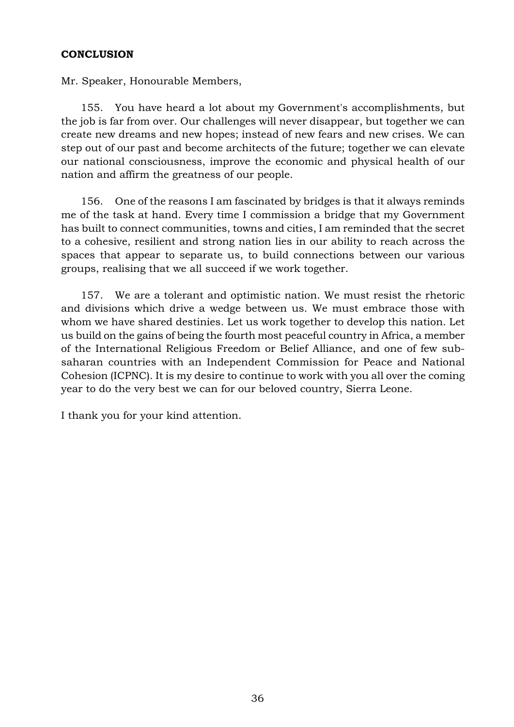## **CONCLUSION**

Mr. Speaker, Honourable Members,

155. You have heard a lot about my Government's accomplishments, but the job is far from over. Our challenges will never disappear, but together we can create new dreams and new hopes; instead of new fears and new crises. We can step out of our past and become architects of the future; together we can elevate our national consciousness, improve the economic and physical health of our nation and affirm the greatness of our people.

156. One of the reasons I am fascinated by bridges is that it always reminds me of the task at hand. Every time I commission a bridge that my Government has built to connect communities, towns and cities, I am reminded that the secret to a cohesive, resilient and strong nation lies in our ability to reach across the spaces that appear to separate us, to build connections between our various groups, realising that we all succeed if we work together.

157. We are a tolerant and optimistic nation. We must resist the rhetoric and divisions which drive a wedge between us. We must embrace those with whom we have shared destinies. Let us work together to develop this nation. Let us build on the gains of being the fourth most peaceful country in Africa, a member of the International Religious Freedom or Belief Alliance, and one of few subsaharan countries with an Independent Commission for Peace and National Cohesion (ICPNC). It is my desire to continue to work with you all over the coming year to do the very best we can for our beloved country, Sierra Leone.

I thank you for your kind attention.